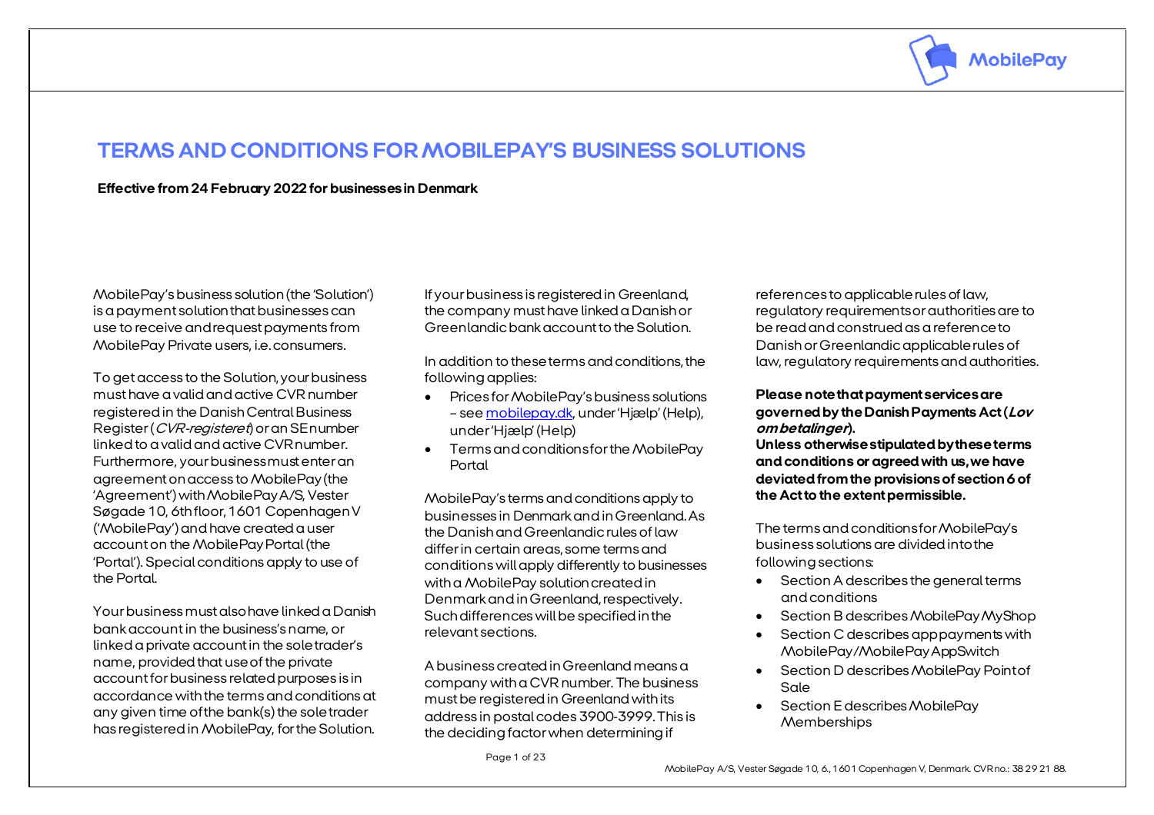

## **TERMS AND CONDITIONS FOR MOBILEPAY'S BUSINESS SOLUTIONS**

**Effective from 24February 2022for businesses in Denmark**

MobilePay's business solution (the 'Solution') is a payment solution that businesses can use to receive and request payments from MobilePay Private users, i.e. consumers.

To get access to the Solution, your business must have a valid and active CVR number registered in the Danish Central Business Register (*CVR-registeret*) or an SE number linked to a valid and active CVR number. Furthermore, your business must enter an agreement on access to MobilePay (the 'Agreement') with MobilePay A/S, Vester Søgade 10, 6th floor, 1601 Copenhagen V ('MobilePay') and have created a user account on the MobilePay Portal (the 'Portal'). Special conditions apply to use of the Portal.

Your business must also have linked a Danish bank accountin the business's name, or linked a private account in the sole trader's name, provided that use of the private account for business related purposes is in accordance with the terms and conditions at any given time of the bank(s) the sole trader has registered in MobilePay, for the Solution. If your business is registered in Greenland, the company must have linked a Danish or Greenlandic bank account to the Solution.

In addition to these terms and conditions, the following applies:

- Prices for MobilePay's business solutions – see [mobilepay.dk](https://mobilepay.dk/da-dk/PDF/Nyhed-MobilePay-PricingChart.pdf), under 'Hjælp' (Help), under 'Hjælp' (Help)
- Terms and conditions for the MobilePay Portal

MobilePay's terms and conditions apply to businesses in Denmark and in Greenland. As the Danish and Greenlandic rules of law differ in certain areas, some terms and conditions will apply differently to businesses with a MobilePay solution created in Denmark and in Greenland, respectively. Such differences will be specified in the relevant sections.

A business created in Greenland means a company with a CVR number. The business must be registered in Greenland with its address in postal codes 3900-3999. This is the deciding factor when determining if

references to applicable rules of law, regulatory requirements or authorities are to be read and construed as a reference to Danish or Greenlandic applicable rules of law, regulatory requirements and authorities.

**Please note that payment services are governed by the Danish Payments Act (Lov om betalinger).**

**Unless otherwise stipulated by these terms and conditions or agreed with us, we have deviated from the provisions of section 6 of the Act to the extent permissible.** 

The terms and conditions for MobilePay's business solutions are divided into the following sections:

- Section A describes the general terms and conditions
- Section B describes MobilePay MyShop
- Section C describes app payments with MobilePay/MobilePay AppSwitch
- Section D describes MobilePay Point of Sale
- Section E describes MobilePay **Memberships**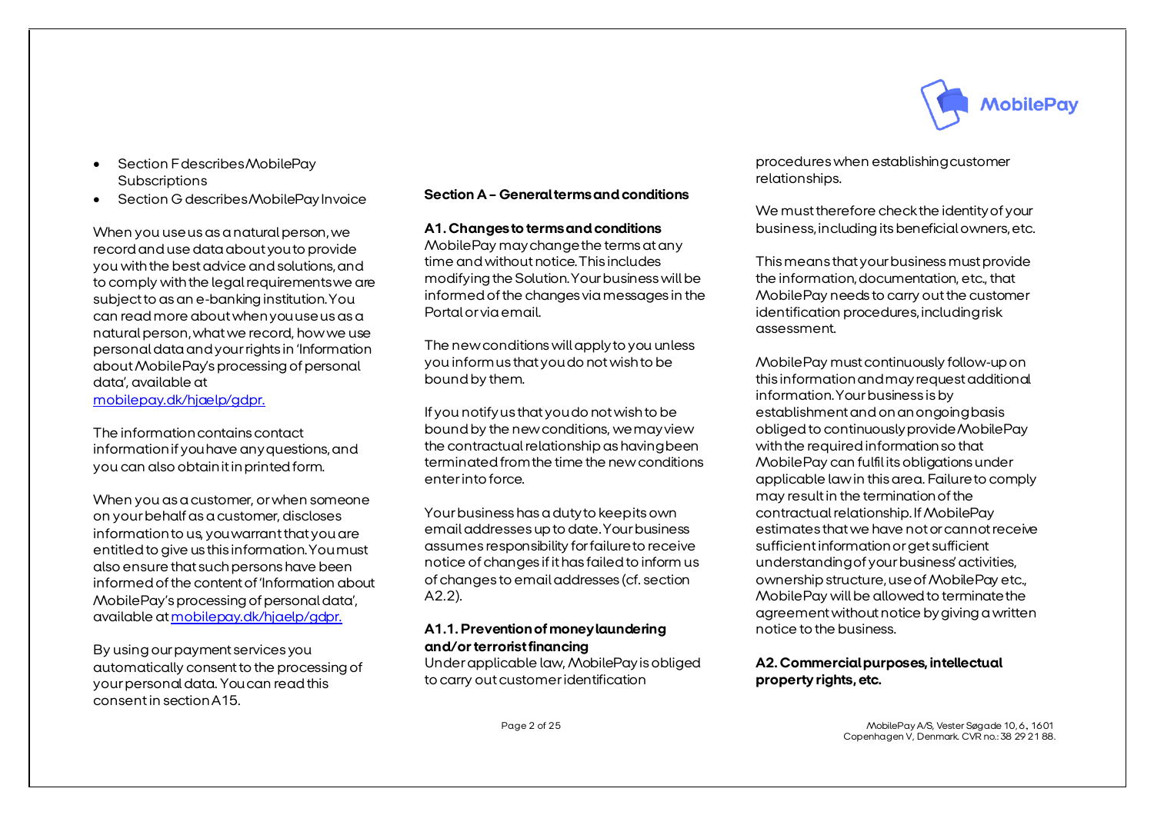

- Section F describes MobilePay **Subscriptions**
- Section G describes MobilePay Invoice

When you use us as a natural person, we record and use data about you to provide you with the best advice and solutions, and to comply with the legal requirements we are subject to as an e-banking institution. You can read more about when you use us as a natural person, what we record, how we use personal data and your rights in 'Information about MobilePay's processing of personal data', available at

[mobilepay.dk/hjaelp/gdpr](https://mobilepay.dk/hjaelp/gdpr).

The information contains contact information if you have any questions, and you can also obtain it in printed form.

When you as a customer, or when someone on your behalf as a customer, discloses information to us, you warrant that you are entitled to give us this information. You must also ensure that such persons have been informed of the content of 'Information about MobilePay's processing of personal data', available at [mobilepay.dk/hjaelp/gdpr](https://mobilepay.dk/hjaelp/gdpr).

By using our payment services you automatically consent to the processing of your personal data. You can read this consent in section A15.

## **Section A –General terms and conditions**

#### **A1. Changes to terms and conditions**

MobilePay may change the terms at any time and without notice. This includes modifying the Solution. Your business will be informed of the changes via messages in the Portal or via email.

The new conditions will apply to you unless you inform us that you do not wish to be boundby them.

If you notify us that you do not wish to be bound by the new conditions, we may view the contractual relationship as having been terminated from the time the new conditions enter into force.

Your business has a duty to keep its own email addresses up to date. Your business assumes responsibility for failure to receive notice of changes if it has failed to inform us of changes to email addresses (cf. section A2.2).

## **A1.1. Prevention of money laundering and/or terrorist financing**

Under applicable law, MobilePay is obliged to carry out customer identification

procedures when establishing customer relationships.

We must therefore check the identity of your business, including its beneficial owners, etc.

This means that your business must provide the information, documentation, etc., that MobilePay needs to carry out the customer identification procedures, including risk assessment.

MobilePay must continuously follow-up on this information and may request additional information. Your business is by establishment andon an ongoing basis obligedto continuously provide MobilePay with the required information so that MobilePay can fulfil its obligations under applicable law in this area. Failure to comply may result in the termination of the contractual relationship. If MobilePay estimates that we have not or cannot receive sufficient information or get sufficient understanding of your business' activities, ownership structure, use of MobilePay etc., MobilePay will be allowed to terminate the agreement without notice by giving a written notice to the business.

## **A2. Commercial purposes, intellectual property rights, etc.**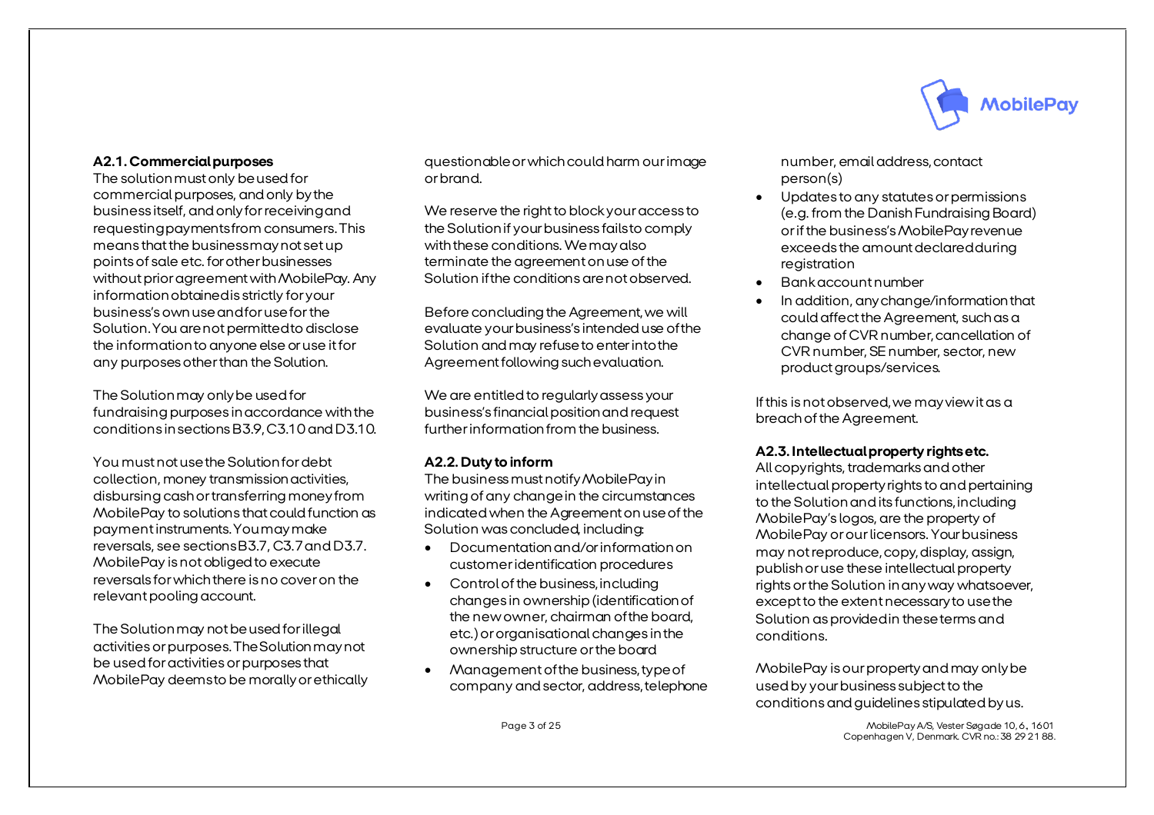# **MobilePav**

## **A2.1. Commercial purposes**

The solution must only be used for commercial purposes, and only by the business itself, and only for receiving and requesting payments from consumers. This means that the business may not set up points of sale etc. for other businesses without prior agreement with MobilePay. Any information obtained is strictly for your business's own use and for use for the Solution. You are not permitted to disclose the information to anyone else or use it for any purposes other than the Solution.

The Solution may only be used for fundraising purposes in accordance with the conditions in sections B3.9, C3.10 and D3.10.

You must not use the Solution for debt collection, money transmission activities, disbursing cash or transferring money from MobilePay to solutions that could function as payment instruments. You may make reversals, see sections B3.7, C3.7 and D3.7. MobilePay is not obliged to execute reversals for which there is no cover on the relevant pooling account.

The Solution may not be used for illegal activities or purposes. The Solution may not be used for activities or purposes that MobilePay deems to be morally or ethically questionable or which could harm our image or brand.

We reserve the right to block your access to the Solution if your business fails to comply with these conditions. We may also terminate the agreement on use of the Solution if the conditions are not observed.

Before concluding the Agreement, we will evaluate your business's intended use of the Solution and may refuse to enter into the Agreement following such evaluation.

We are entitled to regularly assess your business's financial position and request further information from the business.

#### **A2.2. Duty to inform**

The business must notify MobilePay in writing of any change in the circumstances indicated when the Agreement on use of the Solution was concluded, including:

- Documentation and/or information on customer identification procedures
- Control of the business, including changes in ownership (identification of the new owner, chairman of the board, etc.) or organisational changes in the ownership structure or the board
- Management ofthe business, type of company and sector, address, telephone

number, email address, contact person(s)

- Updates to any statutes or permissions (e.g. from the Danish Fundraising Board) or if the business's MobilePay revenue exceeds the amount declared during registration
- Bank account number
- In addition, any change/information that could affect the Agreement, such as a change of CVR number, cancellation of CVR number, SE number, sector, new product groups/services.

If this is not observed, we may view it as a breach of the Agreement.

## **A2.3. Intellectual property rights etc.**

All copyrights, trademarks and other intellectual property rights to and pertaining to the Solution and its functions, including MobilePay's logos, are the property of MobilePay or our licensors. Your business may not reproduce, copy, display, assign, publish or use these intellectual property rights or the Solution in any way whatsoever, except to the extent necessary to use the Solution as provided in these terms and conditions.

MobilePay is our property and may only be used by your business subject to the conditions and guidelines stipulated by us.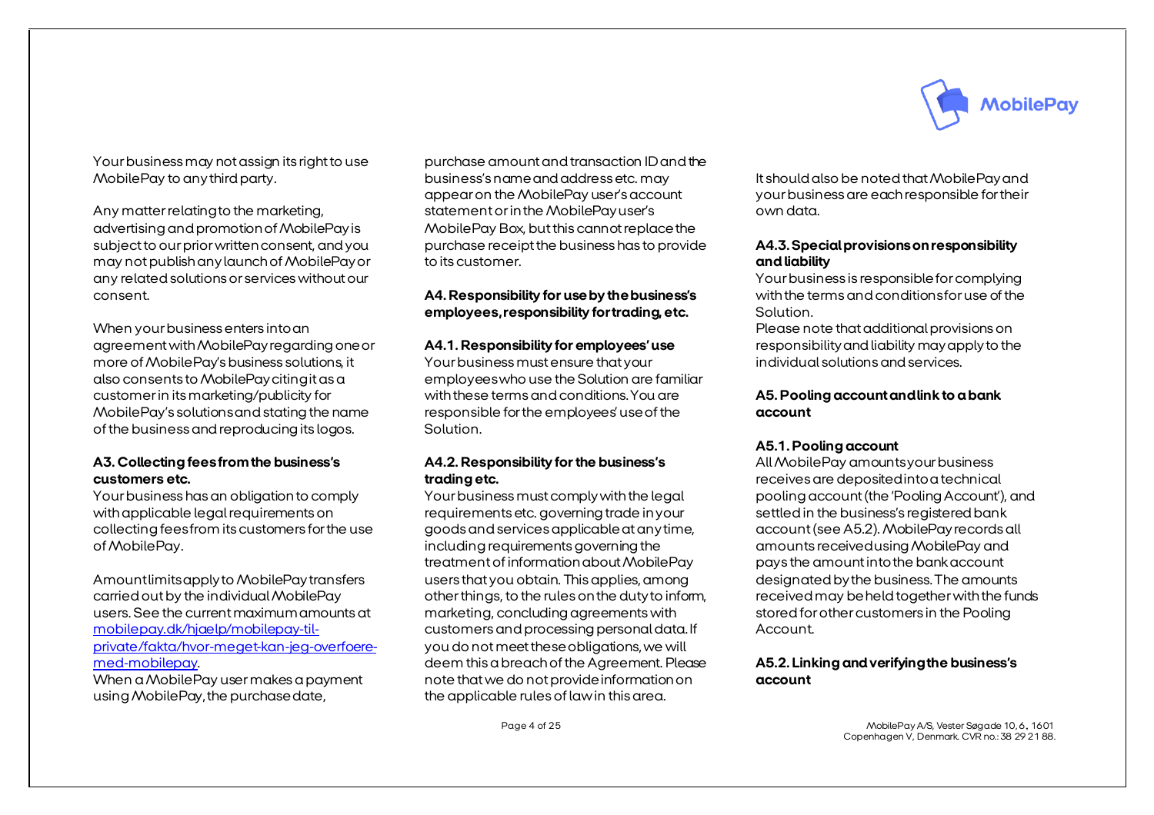

Your business may not assign its right to use MobilePay to any third party.

Any matter relating to the marketing, advertising and promotion of MobilePay is subject to our prior written consent, and you may not publish any launch of MobilePay or any related solutions or services without our consent.

When your business enters into an agreement with MobilePay regarding one or more of MobilePay's business solutions, it also consents to MobilePay citing it as a customer in its marketing/publicity for MobilePay's solutions and stating the name of the business and reproducing its logos.

## **A3. Collecting fees from the business's customers etc.**

Your business has an obligation to comply with applicable legal requirements on collecting fees from its customers for the use of MobilePay.

Amount limits apply to MobilePay transfers carried out by the individual MobilePay users. See the current maximum amounts at [mobilepay.dk/hjaelp/mobilepay-til](file://///danskenet.net/Homeshare/HOME024/BA5930/Malou/MobilePay/Solutions%20&%20Journey%20Development/T&C/Erhvervsbetingelser/Kommende/mobilepay.dk/hjaelp/mobilepay-til-private/fakta/hvor-meget-kan-jeg-overfoere-med-mobilepay)[private/fakta/hvor-meget-kan-jeg-overfoere](file://///danskenet.net/Homeshare/HOME024/BA5930/Malou/MobilePay/Solutions%20&%20Journey%20Development/T&C/Erhvervsbetingelser/Kommende/mobilepay.dk/hjaelp/mobilepay-til-private/fakta/hvor-meget-kan-jeg-overfoere-med-mobilepay)[med-mobilepay](file://///danskenet.net/Homeshare/HOME024/BA5930/Malou/MobilePay/Solutions%20&%20Journey%20Development/T&C/Erhvervsbetingelser/Kommende/mobilepay.dk/hjaelp/mobilepay-til-private/fakta/hvor-meget-kan-jeg-overfoere-med-mobilepay).

When a MobilePay user makes a payment using MobilePay, the purchase date,

purchase amount and transaction ID and the business's name and address etc. may appear on the MobilePay user's account statement or in the MobilePay user's MobilePay Box, but this cannot replace the purchase receipt the business has to provide to its customer.

## **A4. Responsibility for use by the business's employees, responsibility for trading, etc.**

## **A4.1. Responsibility for employees' use**

Your business must ensure that your employees who use the Solution are familiar with these terms and conditions. You are responsible for the employees' use of the Solution.

## **A4.2. Responsibility for the business's trading etc.**

Your business must comply with the legal requirements etc. governing trade in your goods and services applicable at any time, including requirements governing the treatment of information about MobilePay users that you obtain. This applies, among other things, to the rules on the duty to inform, marketing, concluding agreements with customers and processing personal data. If you do not meet these obligations, we will deem this a breach of the Agreement. Please note that we do not provide information on the applicable rules of law in this area.

It should also be noted that MobilePay and your business are each responsible for their own data.

## **A4.3. Special provisions on responsibility and liability**

Your business is responsible for complying with the terms and conditions for use of the Solution.

Please note that additional provisions on responsibility and liability may apply to the individual solutions and services.

## **A5. Pooling account and link to a bank account**

## **A5.1. Pooling account**

All MobilePay amounts your business receives are deposited into a technical pooling account (the 'Pooling Account'), and settled in the business's registered bank account (see A5.2). MobilePay records all amounts received using MobilePay and pays the amount into the bank account designated by the business. The amounts received may be held together with the funds stored for other customers in the Pooling Account.

## **A5.2. Linking and verifying the business's account**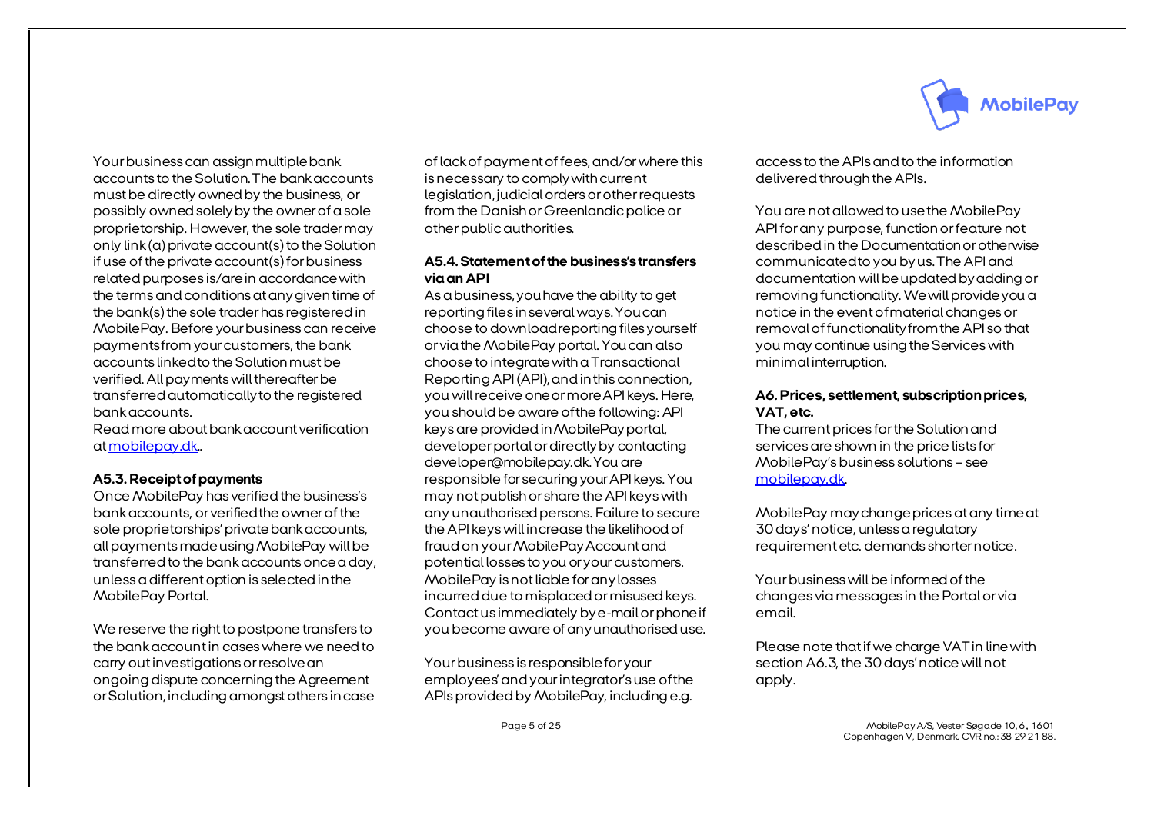

Your business can assign multiple bank accounts to the Solution. The bank accounts must be directly owned by the business, or possibly owned solely by the owner of a sole proprietorship. However, the sole trader may only link (a) private account(s) to the Solution if use of the private account(s) for business related purposes is/arein accordance with the terms and conditions at any given time of the bank(s) the sole trader has registered in MobilePay. Before your business can receive payments from your customers, the bank accounts linked to the Solution must be verified. All payments will thereafter be transferred automatically to the registered bank accounts.

Read more about bank account verification a[tmobilepay.dk](https://mobilepay.dk/da-dk/PDF/Nyhed-MobilePay-PricingChart.pdf)..

#### **A5.3. Receipt of payments**

Once MobilePay has verified the business's bank accounts, or verified the owner of the sole proprietorships' private bank accounts, all payments made using MobilePay will be transferred to the bank accounts once a day, unless a different option is selected in the MobilePay Portal.

We reserve the right to postpone transfers to the bank account in cases where we need to carry out investigations or resolve an ongoing dispute concerning the Agreement or Solution, including amongst others in case

of lack of payment of fees,and/or where this is necessary to comply with current legislation, judicial orders or other requests from the Danish or Greenlandic police or other public authorities.

## **A5.4. Statement of the business's transfers via an API**

As a business, you have the ability to get reporting files in several ways. You can choose to download reporting files yourself or via the MobilePay portal. You can also choose to integrate with a Transactional Reporting API (API), and in this connection, you will receive one or more API keys. Here, you should be aware of the following: API keys are provided in MobilePay portal, developer portal or directly by contacting [developer@mobilepay.dk](mailto:developer@mobilepay.dk). You are responsible for securing your API keys. You may not publish or share the API keys with any unauthorised persons. Failure to secure the API keys will increase the likelihood of fraud on your MobilePay Account and potential losses to you or your customers. MobilePay is not liable for any losses incurred due to misplaced or misused keys. Contact us immediately by e-mail or phone if you become aware of any unauthorised use.

Your business is responsible for your employees' and your integrator's use of the APIs provided by MobilePay, including e.g.

access to the APIs and to the information delivered through the APIs.

You are not allowed to use the MobilePay API for any purpose, function or feature not described in the Documentation or otherwise communicated to you by us. The API and documentation will be updated by adding or removing functionality. We will provide you a notice in the event of material changes or removal of functionality from the API so that you may continue using the Services with minimal interruption.

## **A6. Prices, settlement, subscription prices, VAT, etc.**

The current prices for the Solution and services are shown in the price lists for MobilePay's business solutions – see [mobilepay.dk](https://mobilepay.dk/da-dk/PDF/Nyhed-MobilePay-PricingChart.pdf).

MobilePay may change prices at any time at 30 days' notice, unless a regulatory requirement etc. demands shorter notice.

Your business will be informed of the changes via messages in the Portal or via email.

Please note that if we charge VAT in line with section A6.3, the 30 days' notice will not apply.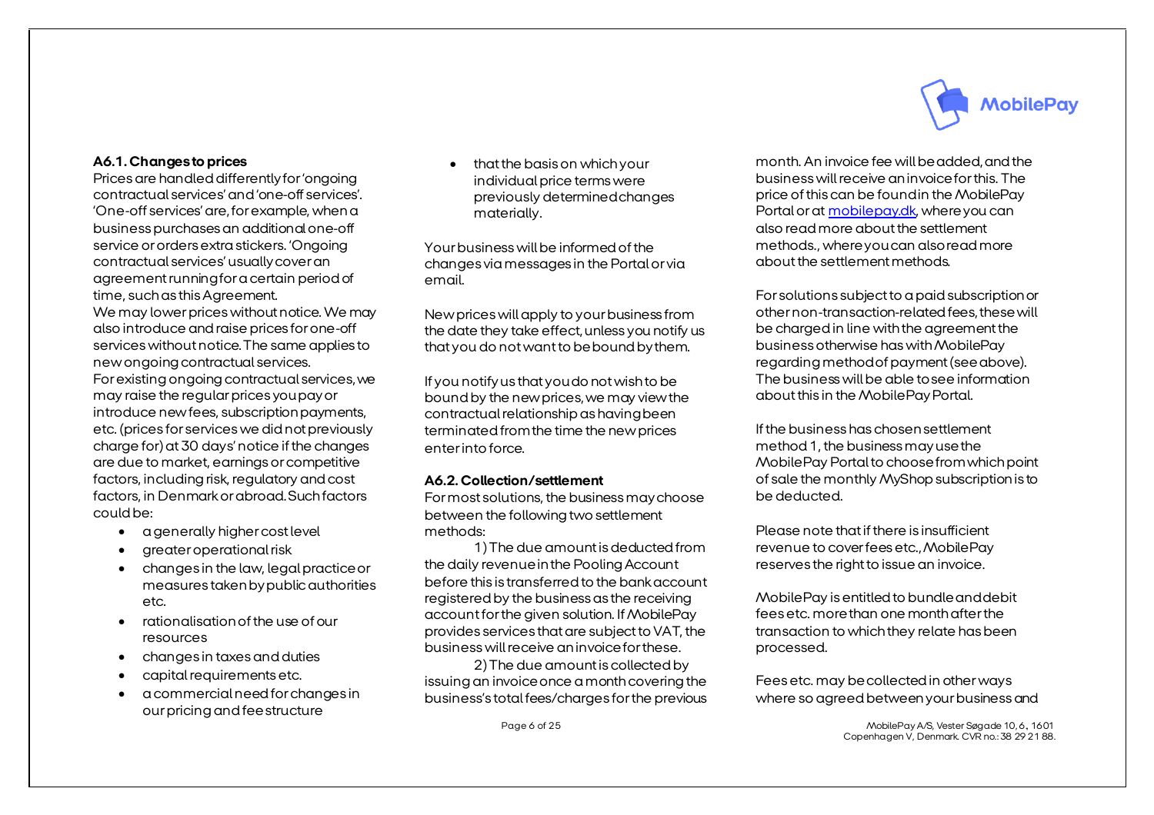## **A6.1. Changes to prices**

Prices are handled differently for 'ongoing contractual services' and 'one-off services'. 'One-off services' are, for example, when a business purchases an additional one-off service or orders extra stickers. 'Ongoing contractual services' usually cover an agreement running for a certain period of time, such as this Agreement.

We may lower prices without notice. We may also introduce and raise prices for one-off services without notice. The same applies to new ongoing contractual services. For existing ongoing contractual services, we may raise the regular prices you pay or introduce new fees, subscription payments, etc. (prices for services we did not previously charge for) at 30 days' notice if the changes are due to market, earnings or competitive factors, including risk, regulatory and cost factors, in Denmark or abroad. Such factors could be:

- a generally higher cost level
- greater operational risk
- changes in the law, legal practice or measures taken by public authorities etc.
- rationalisation of the use of our resources
- changes in taxes and duties
- capital requirements etc.
- a commercial need for changes in our pricing and fee structure

 that the basis on which your individual price terms were previously determined changes materially.

Your business will be informed of the changes via messages in the Portal or via email.

New prices will apply to your business from the date they take effect, unless you notify us that you do not want to be bound by them.

If you notify us that you do not wish to be bound by the new prices, we may view the contractual relationship as having been terminated from the time the new prices enter into force.

## **A6.2. Collection/settlement**

For most solutions, the business may choose between the following two settlement methods:

1) The due amount is deducted from the daily revenue in the Pooling Account before this is transferred to the bank account registered by the business as the receiving account for the given solution. If MobilePay provides services that are subject to VAT, the business will receive an invoice for these.

2) The due amount is collected by issuing an invoice once a month covering the business's total fees/charges for the previous



month. An invoice fee will be added, and the business will receive an invoice for this. The price of this can be found in the MobilePay Portal or a[t mobilepay.dk](https://mobilepay.dk/da-dk/PDF/Nyhed-MobilePay-PricingChart.pdf), where you can also read more about the settlement methods., where you can also read more about the settlement methods.

For solutions subject to a paid subscription or other non-transaction-related fees, these will be charged in line with the agreement the business otherwise has with MobilePay regarding method of payment (see above). The business will be able to see information about this in the MobilePay Portal.

If the business has chosen settlement method 1, the business may use the MobilePay Portal to choose from which point of sale the monthly MyShop subscription is to be deducted.

Please note that if there is insufficient revenue to cover fees etc., MobilePay reserves the right to issue an invoice.

MobilePay is entitled to bundle and debit fees etc. more than one month after the transaction to which they relate has been processed.

Fees etc. may be collected in other ways where so agreed between your business and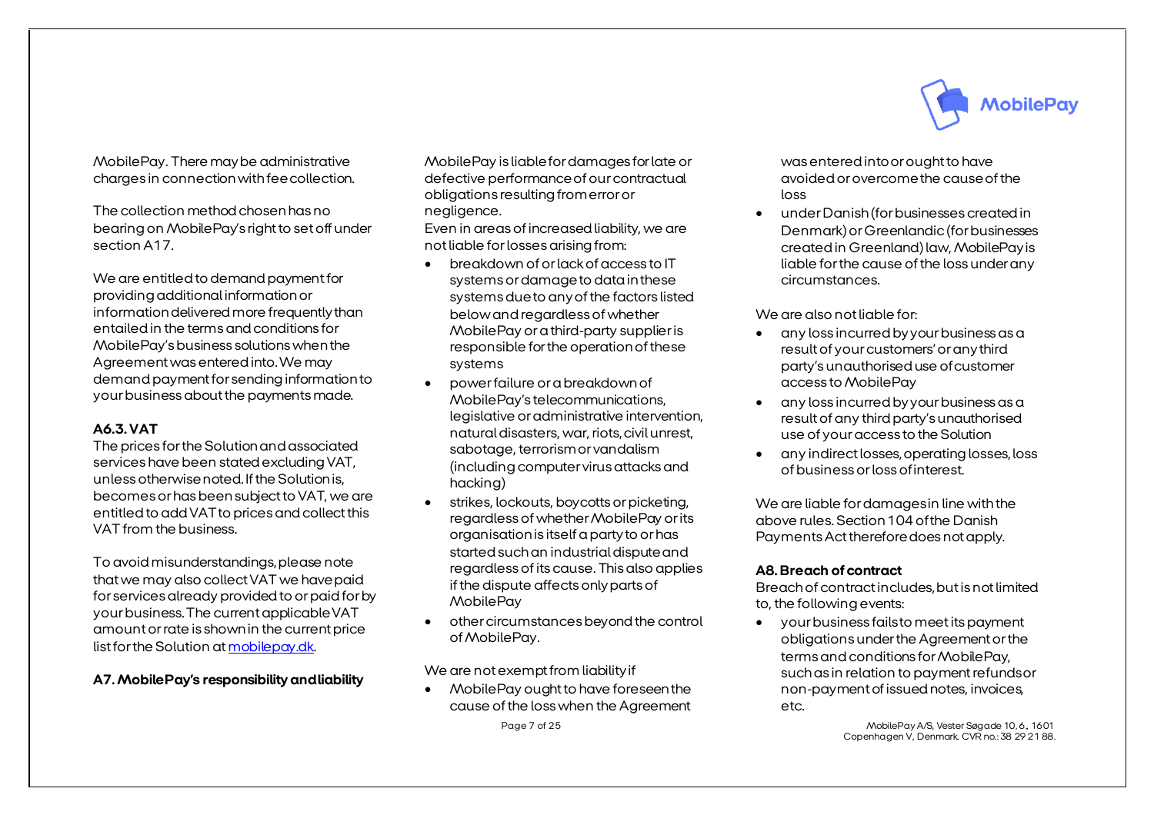MobilePay. There may be administrative charges in connection with fee collection.

The collection method chosen has no bearing on MobilePay's right to set off under section A17.

We are entitled to demand payment for providing additional information or information delivered more frequently than entailed in the terms and conditions for MobilePay's business solutions when the Agreement was entered into. We may demand payment for sending information to your business about the payments made.

#### **A6.3. VAT**

The prices for the Solution and associated services have been stated excluding VAT, unless otherwise noted. If the Solution is, becomes or has been subject to VAT, we are entitled to add VAT to prices and collect this VAT from the business.

To avoid misunderstandings, please note that we may also collect VAT we have paid for services already provided to or paid for by your business. The current applicable VAT amount or rate is shown in the current price list for the Solution at [mobilepay.dk](https://mobilepay.dk/da-dk/PDF/Nyhed-MobilePay-PricingChart.pdf).

**A7. MobilePay's responsibility and liability** 

MobilePay is liable for damages for late or defective performance of our contractual obligations resulting from error or negligence.

Even in areas of increased liability, we are not liable for losses arising from:

- breakdown of or lack of access to IT systems or damage to data in these systems due to any of the factors listed below and regardless of whether MobilePay or a third-party supplier is responsible for the operation of these systems
- power failure or a breakdown of MobilePay's telecommunications, legislative or administrative intervention, natural disasters, war, riots, civil unrest, sabotage, terrorism or vandalism (including computer virus attacks and hacking)
- strikes, lockouts, boycotts or picketing, regardless of whether MobilePay or its organisation is itself a party to or has started such an industrial dispute and regardless of its cause. This also applies if the dispute affects only parts of MobilePay
- other circumstances beyond the control of MobilePay.

We are not exempt from liability if

• MobilePay ought to have foreseen the cause of the loss when the Agreement



was entered into or ought to have avoided or overcome the cause of the loss

 under Danish (for businesses created in Denmark) or Greenlandic (for businesses created in Greenland) law, MobilePay is liable for the cause of the loss under any circumstances.

We are also not liable for:

- any loss incurred by your business as a result of your customers' or any third party's unauthorised use of customer access to MobilePay
- any loss incurred by your business as a result of any third party's unauthorised use of your access to the Solution
- any indirect losses, operating losses, loss of business or loss of interest.

We are liable for damages in line with the above rules. Section 104 of the Danish Payments Act therefore does not apply.

## **A8. Breach of contract**

Breach of contract includes, but is not limited to, the following events:

 your business fails to meet its payment obligations under the Agreement or the terms and conditions for MobilePay, such as in relation to payment refunds or non-payment of issued notes, invoices, etc.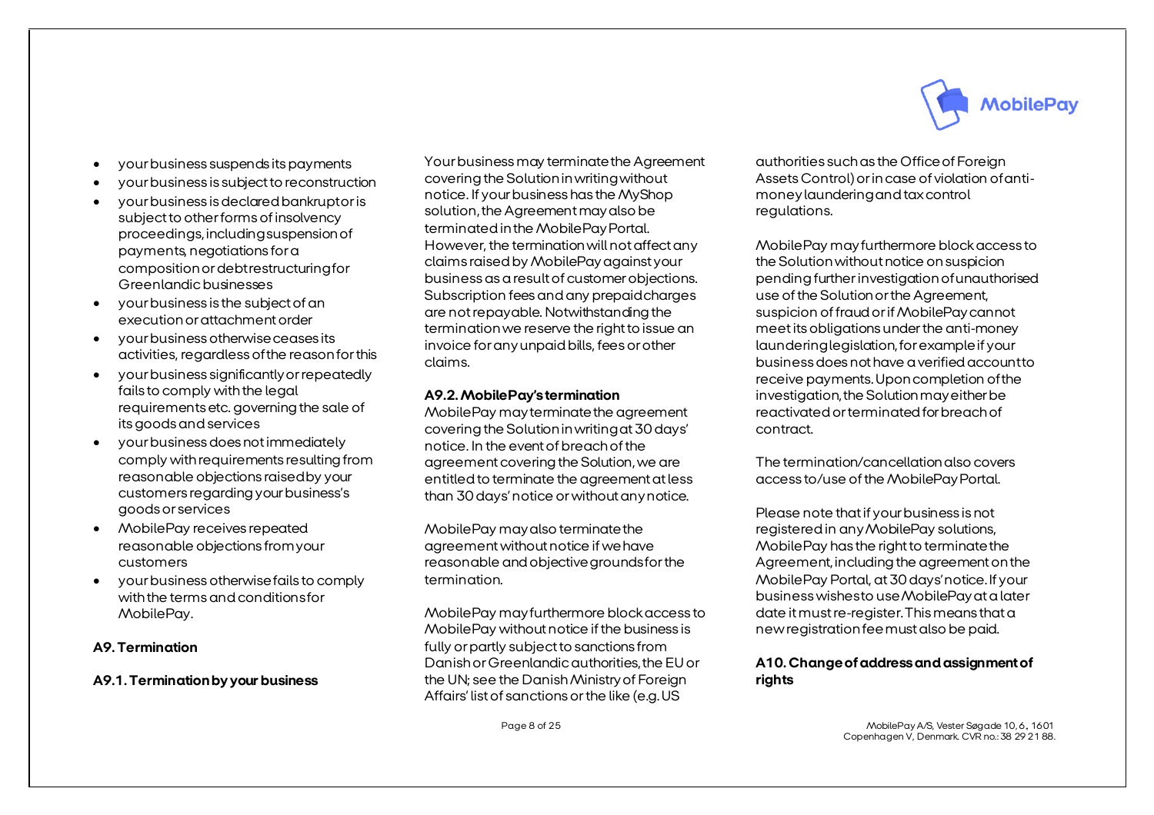- your business suspends its payments
- your business is subject to reconstruction
- your business is declared bankruptor is subject to other forms of insolvency proceedings, including suspension of payments, negotiations for a composition or debt restructuring for Greenlandic businesses
- your business is the subject of an execution or attachment order
- your business otherwise ceases its activities, regardless of the reason for this
- your business significantly or repeatedly fails to comply with the legal requirements etc. governing the sale of its goods and services
- your business does not immediately comply with requirements resulting from reasonable objections raised by your customers regarding your business's goods or services
- MobilePay receives repeated reasonable objections from your customers
- your business otherwise fails to comply with the terms and conditions for MobilePay.

## **A9. Termination**

**A9.1. Termination by your business**

Your business may terminate the Agreement covering the Solution in writing without notice. If your business has the MyShop solution, the Agreement may also be terminated in the MobilePay Portal. However, the termination will not affect any claims raised by MobilePayagainst your business as a result of customer objections. Subscription fees and any prepaid charges are not repayable. Notwithstanding the termination we reserve the right to issue an invoice for any unpaid bills, fees or other claims.

## **A9.2. MobilePay's termination**

MobilePay may terminate the agreement covering the Solution in writing at 30 days' notice. In the event of breach of the agreement covering the Solution, we are entitled to terminate the agreement at less than 30 days' notice or without any notice.

MobilePay may also terminate the agreement without notice if we have reasonable and objective grounds for the termination.

MobilePay may furthermore block access to MobilePay without notice if the business is fully or partly subject to sanctions from Danish or Greenlandic authorities, the EU or the UN; see the Danish Ministry of Foreign Affairs' list of sanctions or the like (e.g. US

authorities such as the Office of Foreign Assets Control) or in case of violation of antimoney laundering and tax control regulations.

MobilePay may furthermore block access to the Solution without notice on suspicion pending further investigationof unauthorised use of the Solution or the Agreement, suspicion of fraud or if MobilePay cannot meet its obligations under the anti-money laundering legislation, for example if your business does not have a verified account to receive payments. Upon completion of the investigation, the Solution may either be reactivated or terminated for breach of contract.

The termination/cancellation also covers access to/use of the MobilePay Portal.

Please note that if your business is not registered in any MobilePay solutions, MobilePay has the right to terminate the Agreement, including the agreement on the MobilePay Portal, at 30 days' notice. If your business wishes to use MobilePay at a later date it must re-register. This means that a new registration fee must also be paid.

## **A10. Change of address and assignment of rights**

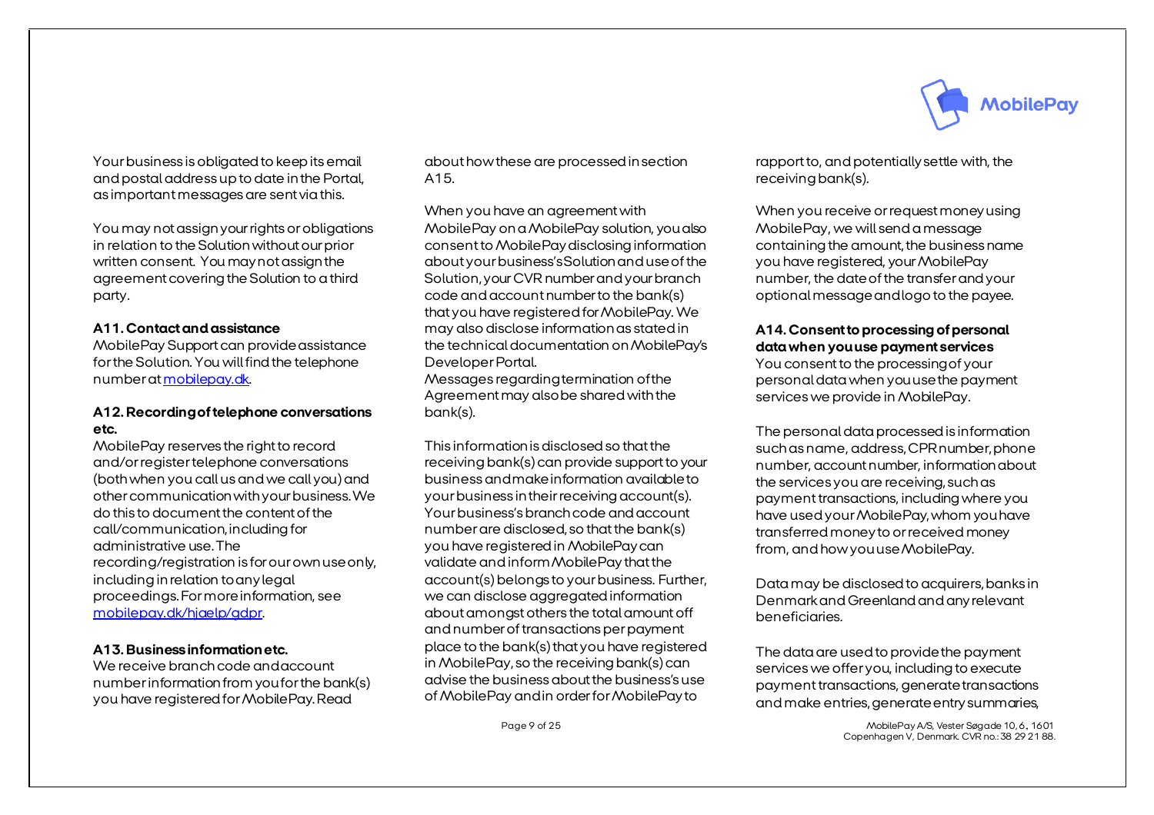

Your business is obligated to keep its email and postal address up to date in the Portal, as important messages are sent via this.

You may not assign your rights or obligations in relation to the Solution without our prior written consent. You may not assign the agreement covering the Solution to a third party.

#### **A11. Contact and assistance**

MobilePay Support can provide assistance for the Solution. You will find the telephone number a[t mobilepay.dk.](https://mobilepay.dk/da-dk/PDF/Nyhed-MobilePay-PricingChart.pdf)

## **A12. Recording of telephone conversations etc.**

MobilePay reserves the right to record and/or register telephone conversations (both when you call us and we call you) and other communication with your business. We do this to document the content of the call/communication, including for administrative use. The recording/registration is for our own use only, including in relation to any legal proceedings. For more information, see [mobilepay.dk/hjaelp/gdpr](https://mobilepay.dk/hjaelp/gdpr).

## **A13. Business information etc.**

We receive branch code and account number information from you for the bank(s) you have registered for MobilePay. Read

about how these are processed in section A15.

When you have an agreement with MobilePay on a MobilePay solution, you also consent to MobilePay disclosing information about your business's Solution and use of the Solution, your CVR number and your branch code and account number to the bank(s) that you have registered for MobilePay. We may also disclose information as stated in the technical documentation on MobilePay's Developer Portal.

Messages regarding termination of the Agreement may also be shared with the bank(s).

This information is disclosed so that the receiving bank(s) can provide support to your business and make information available to your business in their receiving account(s). Your business's branch code and account number are disclosed, so that the bank(s) you have registered in MobilePay can validate and inform MobilePay that the account(s) belongs to your business. Further, we can disclose aggregated information about amongst others the total amount off and number of transactions per payment place to the bank(s) that you have registered in MobilePay, so the receiving bank(s) can advise the business about the business'suse of MobilePay and in order for MobilePay to

rapport to, and potentially settle with, the receiving bank(s).

When you receive or request money using MobilePay, we will send a message containing the amount, the business name you have registered, your MobilePay number, the date of the transfer and your optional message and logo to the payee.

#### **A14. Consent to processing of personal data when you use payment services**

You consent to the processing of your personal data when you use the payment services we provide in MobilePay.

The personal data processed is information such as name, address, CPR number, phone number, account number, information about the services you are receiving, such as payment transactions, including where you have used your MobilePay, whom you have transferred money to or received money from, and how you use MobilePay.

Data may be disclosed to acquirers, banks in Denmark and Greenland and any relevant beneficiaries.

The data are used to provide the payment services we offer you, including to execute payment transactions, generate transactions and make entries, generate entry summaries,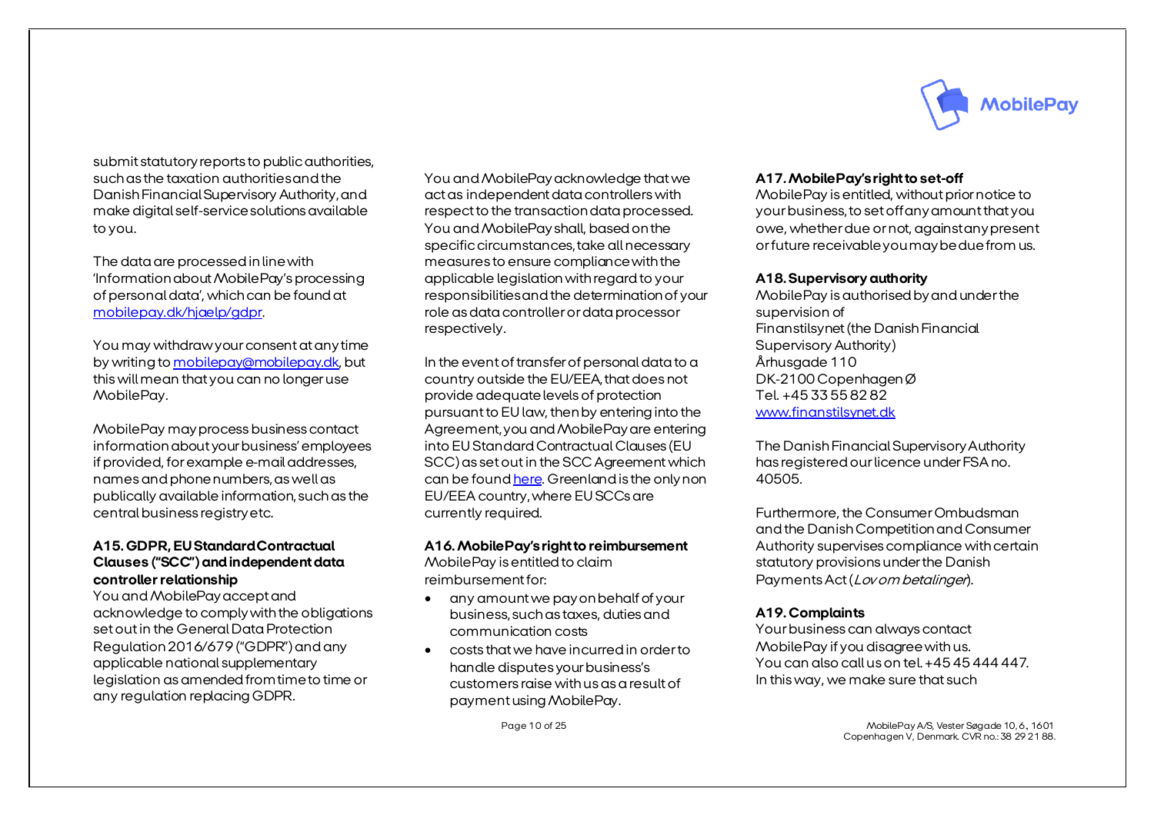**MobilePav** 

submit statutory reports to public authorities, such as the taxation authorities and the Danish Financial Supervisory Authority, and make digital self-service solutions available to you.

The data are processed in line with 'Information about MobilePay's processing of personal data', which can be found at [mobilepay.dk/hjaelp/gdpr](https://mobilepay.dk/hjaelp/gdpr).

You may withdraw your consent at any time by writing t[o mobilepay@mobilepay.dk](mailto:mobilepay@mobilepay.dk), but this will mean that you can no longer use MobilePay.

MobilePay may process business contact informationabout your business' employees if provided, for example e-mail addresses, names and phonenumbers, as well as publically available information, such as the central business registry etc.

## **A15.GDPR, EU Standard Contractual Clauses ("SCC")and independent data controllerrelationship**

You and MobilePay accept and acknowledge to comply with the obligations set out in the General Data Protection Regulation 2016/679 ("GDPR") and any applicable national supplementary legislation as amended from time to time or any regulation replacing GDPR.

You and MobilePay acknowledge that we act as independent data controllers with respect to the transaction data processed. You and MobilePay shall, based on the specific circumstances, take all necessary measures to ensure compliance with the applicable legislation with regard to your responsibilities and the determination of your role as data controller or data processor respectively.

In the event of transfer of personal data to a country outside the EU/EEA,that does not provide adequate levels of protection pursuant to EU law, then by entering into the Agreement, you and MobilePay are entering into EU Standard Contractual Clauses (EU SCC) as set out in the SCC Agreement which can be found here. Greenland is the only non EU/EEA country, where EU SCCs are currently required.

## **A16. MobilePay's right to reimbursement**

MobilePay is entitled to claim reimbursement for:

- any amount we pay on behalf of your business, such as taxes, duties and communication costs
- costs that we have incurred in order to handle disputes your business's customers raise with us as a result of payment using MobilePay.

## **A17. MobilePay's right to set-off**

MobilePay is entitled, without prior notice to your business, to set off any amount that you owe, whether due or not, against any present or future receivable you may be due from us.

#### **A18. Supervisory authority**

MobilePay is authorised by and under the supervision of Finanstilsynet (the Danish Financial Supervisory Authority) Århusgade 110 DK-2100 Copenhagen Ø Tel. +45 33 55 82 82 [www.finanstilsynet.dk](mailto:https://www.finanstilsynet.dk/)

The Danish Financial Supervisory Authority has registered our licence under FSA no. 40505.

Furthermore, the Consumer Ombudsman and the Danish Competition and Consumer Authority supervises compliance with certain statutory provisions under the Danish Payments Act (Lov om betalinger).

## **A19. Complaints**

Yourbusiness can always contact MobilePay if you disagree with us. You can also call us on tel. +45 45 444 447. In this way, we make sure that such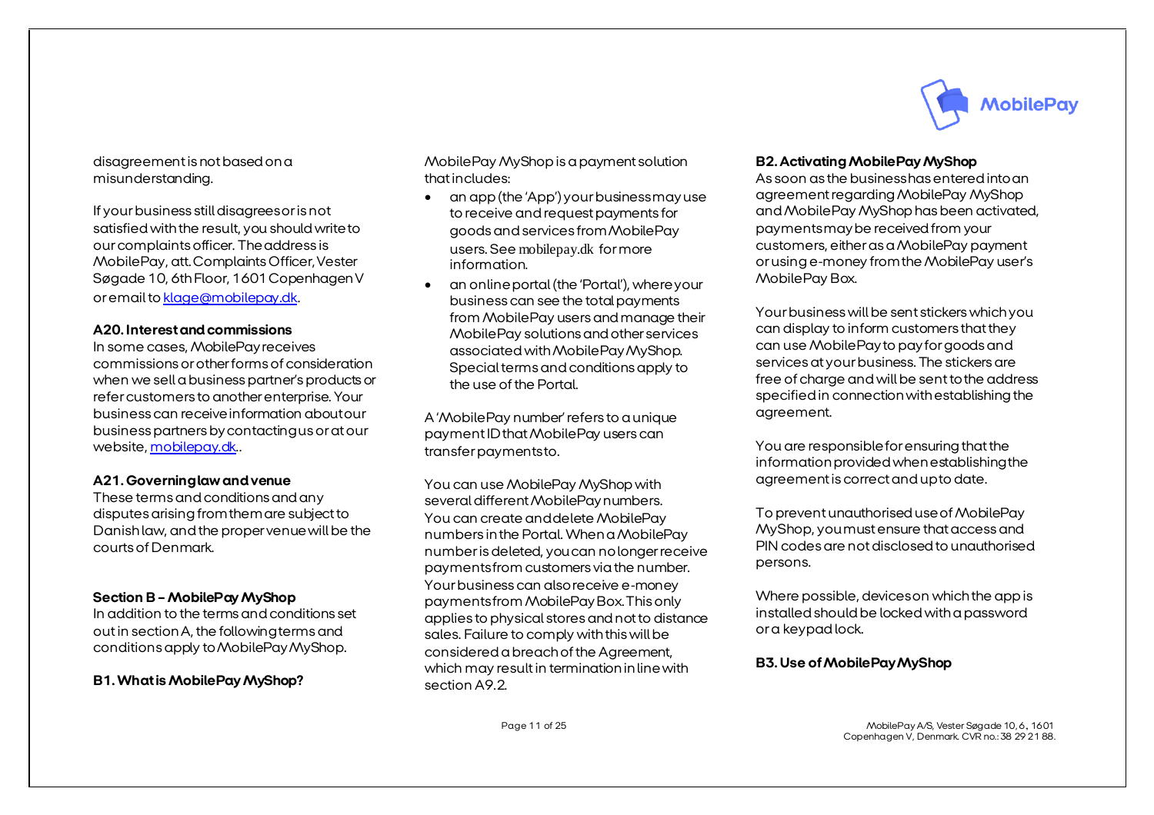disagreement is not based on a misunderstanding.

If your business still disagrees or is not satisfied with the result, you should write to our complaints officer. The address is MobilePay, att. Complaints Officer, Vester Søgade 10, 6th Floor, 1601 Copenhagen V or email t[o klage@mobilepay.dk](mailto:klage@mobilepay.dk).

#### **A20. Interest and commissions**

In some cases, MobilePay receives commissions or other forms of consideration when we sell a business partner's products or refer customers to another enterprise. Your business can receive information about our business partners by contacting us or at our website[, mobilepay.dk](https://mobilepay.dk/da-dk/PDF/Nyhed-MobilePay-PricingChart.pdf)..

#### **A21. Governing law and venue**

These terms and conditions and any disputes arising from them are subject to Danish law, and the proper venue will be the courts of Denmark.

#### **Section B – MobilePay MyShop**

In addition to the terms and conditions set out in section A, the following terms and conditions apply to MobilePay MyShop.

## **B1. What is MobilePay MyShop?**

MobilePay MyShop is a payment solution that includes:

- an app (the 'App') your business may use to receive and request payments for goods and services from MobilePay users. See [mobilepay.dk](https://mobilepay.dk/da-dk/PDF/Nyhed-MobilePay-PricingChart.pdf) for more information.
- an online portal (the 'Portal'), where your business can see the total payments from MobilePay users and manage their MobilePay solutions and other services associated with MobilePay MyShop. Special terms and conditions apply to the use of the Portal.

A 'MobilePay number' refers to a unique payment ID that MobilePay users can transfer payments to.

You can use MobilePay MyShop with several different MobilePay numbers. You can create and delete MobilePay numbers in the Portal. When a MobilePay number is deleted, you can no longer receive payments from customers via the number. Your business can also receive e-money payments from MobilePay Box. This only applies to physical stores and not to distance sales. Failure to comply with this will be considered a breach of the Agreement, which may result in termination in line with section A9.2.

#### **B2. Activating MobilePay MyShop**

As soon as the business has entered into an agreement regarding MobilePay MyShop and MobilePay MyShop has been activated, payments may be received from your customers, either as a MobilePay payment or using e-money from the MobilePay user's MobilePay Box.

Your business will be sent stickers which you can display to inform customers that they can use MobilePay to pay for goods and services at your business. The stickers are free of charge and will be sent to the address specified in connection with establishing the agreement.

You are responsible for ensuring that the information provided when establishing the agreement is correct and up to date.

To prevent unauthorised use of MobilePay MyShop, you must ensure that access and PIN codes are not disclosed to unauthorised persons.

Where possible, devices on which the app is installed should be locked with a password or a keypad lock.

**B3. Use of MobilePay MyShop**

Page 11 of 25 MobilePay A/S, Vester Søgade 10, 6., 1601 Copenhagen V, Denmark. CVR no.: 38 29 21 88.

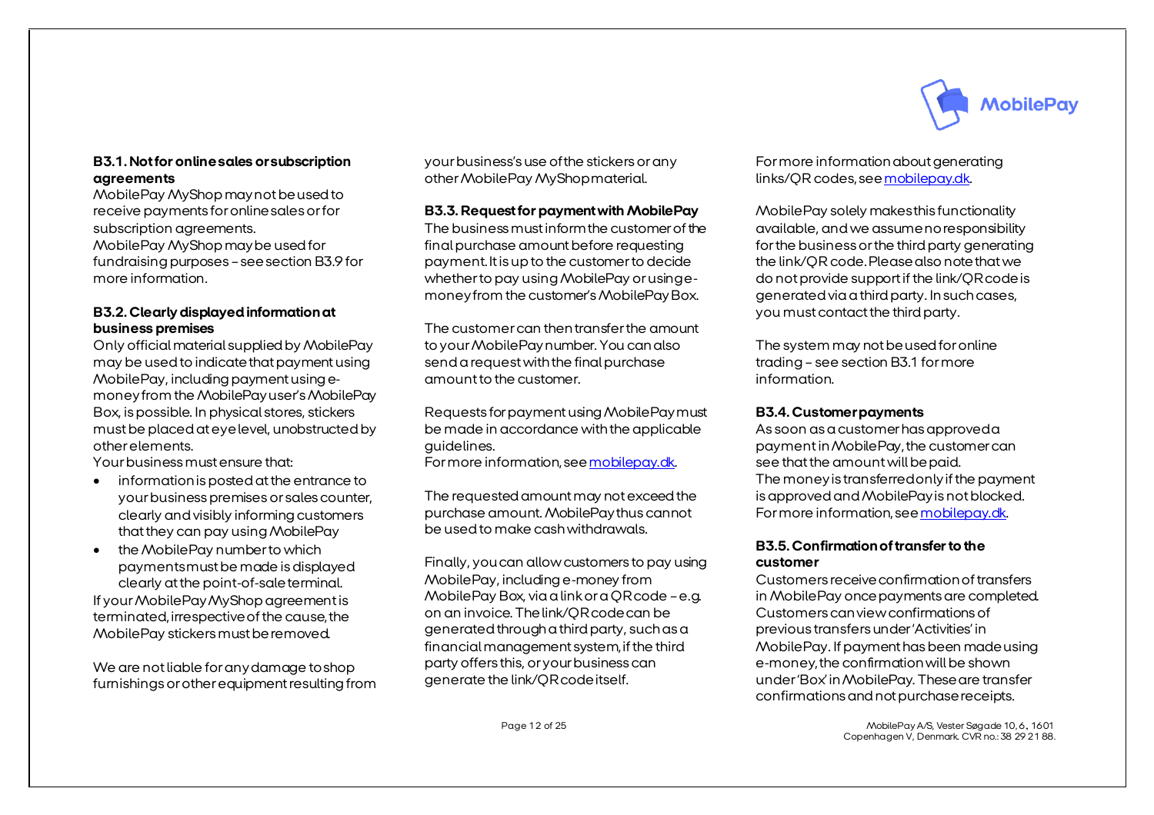# **MobilePav**

## **B3.1. Not for online sales or subscription agreements**

MobilePay MyShop may not be used to receive payments for online sales or for subscription agreements. MobilePay MyShop may be used for fundraising purposes - see section B3.9 for more information.

## **B3.2. Clearly displayed information at business premises**

Only official material supplied by MobilePay may be used to indicate that payment using MobilePay, including payment using emoney from the MobilePay user's MobilePay Box, is possible. In physical stores, stickers must be placed at eye level, unobstructed by other elements.

Your business must ensure that:

- information is posted at the entrance to your business premises or sales counter, clearly and visibly informing customers that they can pay using MobilePay
- the MobilePay number to which payments must be made is displayed clearly at the point-of-sale terminal. If your MobilePay MyShop agreement is terminated, irrespective of the cause, the MobilePay stickers must be removed.

We are not liable for any damage to shop furnishings or other equipment resulting from your business's use of the stickers or any other MobilePay MyShop material.

## **B3.3. Request for payment with MobilePay**

The business must inform the customer of the final purchase amount before requesting payment. It is up to the customer to decide whether to pay using MobilePay or using emoney from the customer's MobilePay Box.

The customer can then transfer the amount to your MobilePay number. You can also send a request with the final purchase amount to the customer.

Requests for payment using MobilePay must be made in accordance with the applicable guidelines. For more information, se[e mobilepay.dk](https://mobilepay.dk/da-dk/PDF/Nyhed-MobilePay-PricingChart.pdf).

The requested amount may not exceed the purchase amount. MobilePay thus cannot be used to make cash withdrawals.

Finally, you can allow customers to pay using MobilePay, including e-money from MobilePay Box, via a link or a QR code –e.g. on an invoice. The link/QR code can be generated through a third party, such as a financial management system, if the third party offers this, or your business can generate the link/QR code itself.

For more information about generating links/QR codes, se[e mobilepay.dk](https://mobilepay.dk/da-dk/PDF/Nyhed-MobilePay-PricingChart.pdf).

MobilePay solely makes this functionality available, and we assume no responsibility for the business or the third party generating the link/QR code. Please also note that we do not provide support if the link/QR code is generated via a third party. In such cases, you must contact the third party.

The system may not be used for online trading – see section B3.1 for more information.

## **B3.4. Customer payments**

As soon as a customer has approved a paymentin MobilePay, the customer can see that the amount will be paid. The money is transferred only if the payment is approved and MobilePay is not blocked. For more information, se[e mobilepay.dk](https://mobilepay.dk/da-dk/PDF/Nyhed-MobilePay-PricingChart.pdf).

## **B3.5. Confirmation of transfer to the customer**

Customers receive confirmation of transfers in MobilePay once payments are completed. Customers can view confirmations of previous transfers under 'Activities' in MobilePay. If payment has been made using e-money, the confirmation will be shown under 'Box' in MobilePay. These are transfer confirmations and not purchase receipts.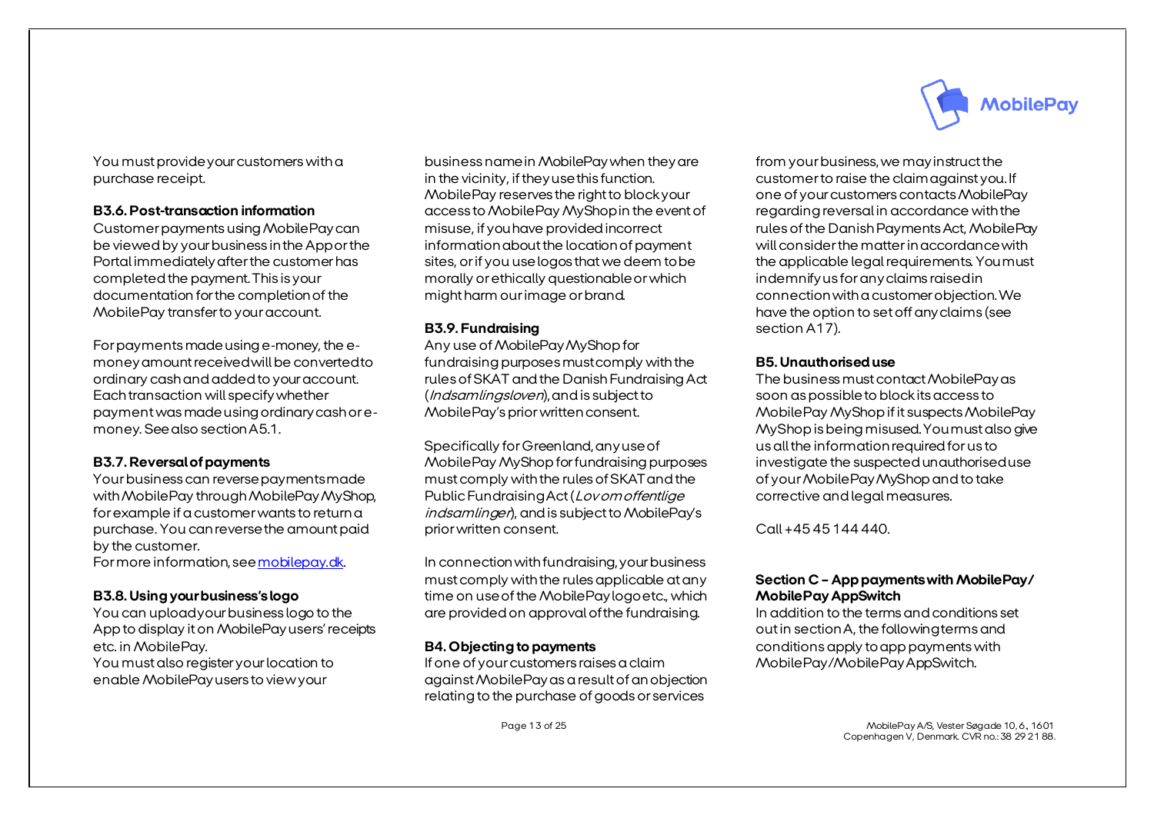

You must provide your customers with a purchase receipt.

#### **B3.6. Post-transaction information**

Customer payments using MobilePay can be viewed by your business in the App or the Portal immediately after the customer has completed the payment. This is your documentation for the completion of the MobilePay transfer to your account.

For payments made using e-money, the emoney amount received will be converted to ordinary cash and added to your account. Each transaction will specify whether payment was made using ordinary cash or emoney. See also section A5.1.

## **B3.7. Reversal of payments**

Your business can reverse payments made with MobilePay through MobilePay MyShop, for example if a customer wants to return a purchase. You can reverse the amount paid by the customer.

For more information, se[e mobilepay.dk.](https://mobilepay.dk/da-dk/PDF/Nyhed-MobilePay-PricingChart.pdf)

#### **B3.8. Using your business's logo**

You can upload your business logo to the App to display it on MobilePay users' receipts etc. in MobilePay.

You must also register your location to enable MobilePay users to view your

business name in MobilePay when they are in the vicinity, if they use this function. MobilePay reserves the right to block your access to MobilePay MyShop in the event of misuse, if you have provided incorrect information about the location of payment sites, or if you use logos that we deem to be morally or ethically questionable or which might harm our image or brand.

## **B3.9. Fundraising**

Any use of MobilePay MyShop for fundraising purposes must comply with the rules of SKAT and the Danish Fundraising Act (*Indsamlingsloven*), and is subject to MobilePay's prior written consent.

Specifically for Greenland, any use of MobilePay MyShop for fundraising purposes must comply with the rules of SKAT and the Public Fundraising Act (Lov om offentlige indsamlingen, and is subject to MobilePay's prior written consent.

In connection with fundraising, your business must comply with the rules applicable at any time on use of the MobilePay logo etc., which are provided on approval of the fundraising.

#### **B4. Objecting to payments**

If one of your customers raises a claim against MobilePay as a result of an objection relating to the purchase of goods or services

from your business, we may instruct the customer to raise the claim against you. If one of your customers contacts MobilePay regarding reversal in accordance with the rules of the Danish Payments Act, MobilePay will consider the matterin accordance with the applicable legal requirements. You must indemnify us for any claims raised in connection with a customer objection. We have the option to set off any claims (see section A17).

#### **B5. Unauthorised use**

The business must contact MobilePay as soon as possible to block its access to MobilePay MyShop if it suspects MobilePay MyShop is being misused. You must also give us all the information required for us to investigate the suspected unauthorised use of your MobilePay MyShop and to take corrective and legal measures.

 $Call +454514440$ 

## **Section C – App payments with MobilePay/ MobilePay AppSwitch**

In addition to the terms and conditions set out in section A, the following terms and conditions apply to app payments with MobilePay/MobilePay AppSwitch.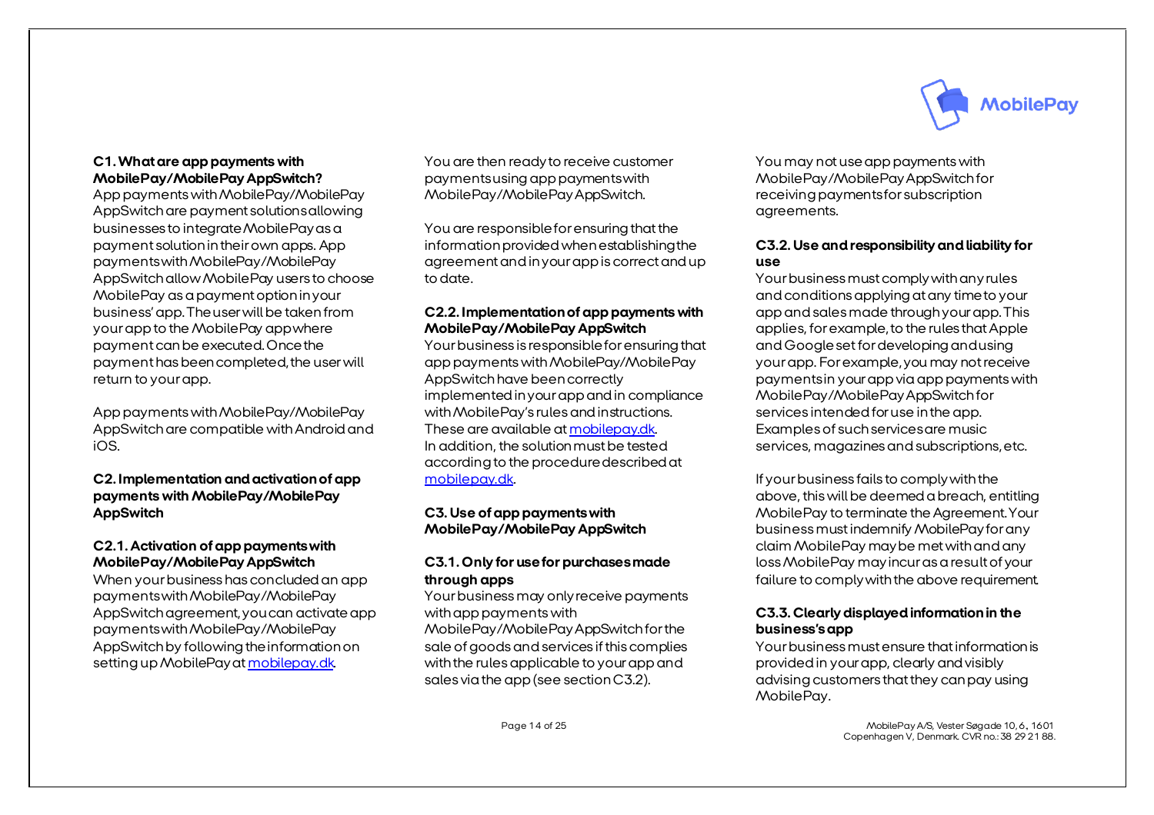## **C1. Whatare app payments with MobilePay/MobilePay AppSwitch?**

App payments with MobilePay/MobilePay AppSwitch are payment solutionsallowing businesses to integrate MobilePay as a payment solution in their own apps. App payments with MobilePay/MobilePay AppSwitch allow MobilePay users to choose MobilePay as a payment option in your business' app. The user will be taken from your app to the MobilePay app where payment can be executed. Once the payment has been completed, the user will return to your app.

App payments with MobilePay/MobilePay AppSwitch are compatible with Android and iOS.

**C2. Implementation and activation of app payments with MobilePay/MobilePay AppSwitch**

## **C2.1. Activation of app payments with MobilePay/MobilePay AppSwitch**

When your business has concluded an app paymentswith MobilePay/MobilePay AppSwitch agreement, you can activate app payments with MobilePay/MobilePay AppSwitch by following the information on setting up MobilePay at [mobilepay.dk.](https://mobilepay.dk/da-dk/PDF/Nyhed-MobilePay-PricingChart.pdf)

You are then ready to receive customer payments using app payments with MobilePay/MobilePay AppSwitch.

You are responsible for ensuring that the information provided when establishing the agreement and in your app is correct and up to date.

## **C2.2. Implementation of app payments with MobilePay/MobilePay AppSwitch**

Your business is responsible for ensuring that app payments with MobilePay/MobilePay AppSwitch have been correctly implemented in your app and in compliance with MobilePay's rules and instructions. These are available a[t mobilepay.dk](https://mobilepay.dk/da-dk/PDF/Nyhed-MobilePay-PricingChart.pdf). In addition, the solution must be tested according to the procedure described at [mobilepay.dk](https://mobilepay.dk/da-dk/PDF/Nyhed-MobilePay-PricingChart.pdf).

## **C3. Use of app payments with MobilePay/MobilePay AppSwitch**

## **C3.1. Only for use for purchases made through apps**

Your business may only receive payments withapp payments with MobilePay/MobilePay AppSwitch for the sale of goods and services if this complies with the rules applicable to your app and sales via the app (see section C3.2).

You may not use app payments with MobilePay/MobilePay AppSwitch for receiving payments for subscription agreements.

## **C3.2. Use and responsibility and liability for use**

Your business must comply with any rules and conditions applying at any time to your app and sales made through your app. This applies, for example, to the rules that Apple and Google set for developing and using your app. For example, you may not receive payments in your app via app payments with MobilePay/MobilePay AppSwitch for services intended for use in the app. Examples of such services are music services, magazines and subscriptions, etc.

If your business fails to comply with the above, this will be deemed a breach, entitling MobilePay to terminate the Agreement. Your business must indemnify MobilePay for any claim MobilePay may be met with and any loss MobilePay may incur as a result of your failure to comply with the above requirement.

## **C3.3. Clearly displayed information in the business's app**

Your business must ensure that information is provided in your app, clearly and visibly advising customers that they can pay using MobilePay.

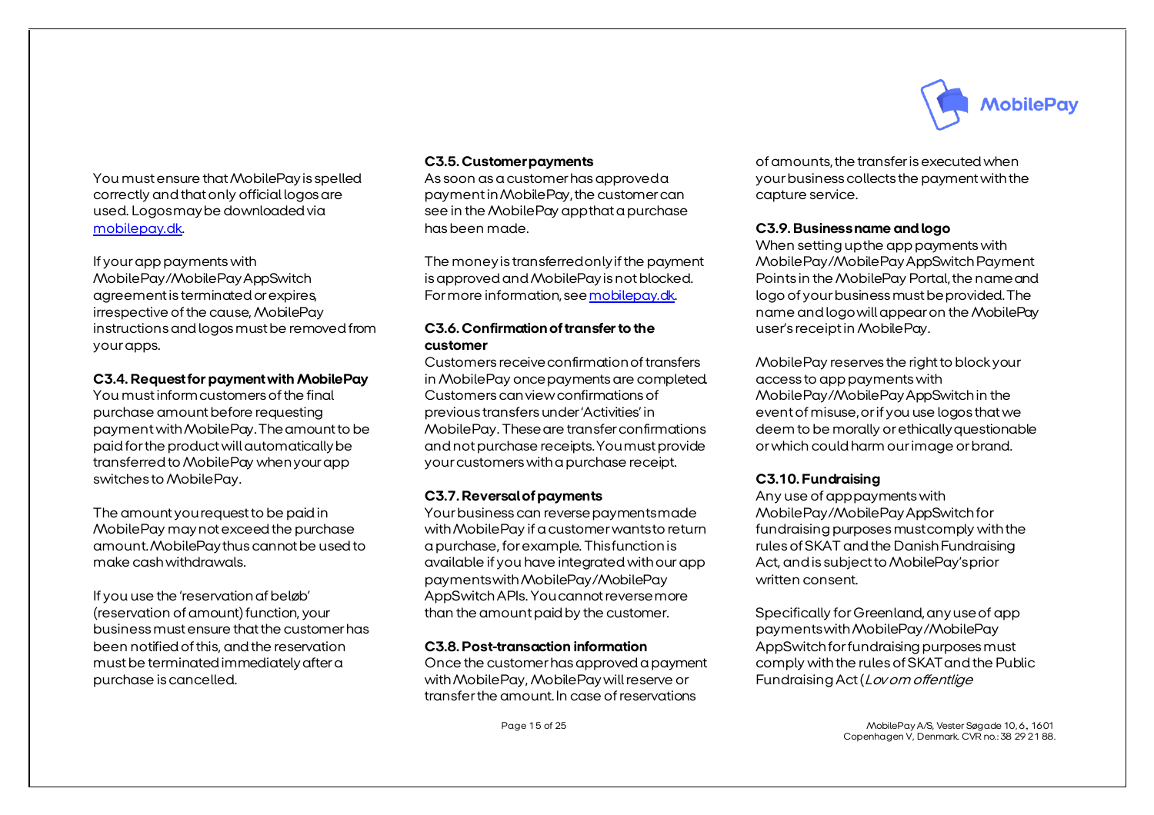

You must ensure that MobilePay is spelled correctly and that only official logos are used. Logos may be downloaded via [mobilepay.dk](https://mobilepay.dk/da-dk/PDF/Nyhed-MobilePay-PricingChart.pdf).

If your app payments with MobilePay/MobilePay AppSwitch agreement is terminated or expires, irrespective of the cause, MobilePay instructions and logos must be removed from your apps.

## **C3.4. Request for payment with MobilePay**

You must inform customers of the final purchase amount before requesting payment with MobilePay. The amount to be paid for the product will automatically be transferred to MobilePay when your app switches to MobilePay.

The amount you request to be paid in MobilePay may not exceed the purchase amount. MobilePay thus cannot be used to make cash withdrawals.

If you use the 'reservation af beløb' (reservation of amount) function, your business must ensure that the customer has been notified of this, and the reservation must be terminated immediately after a purchase is cancelled.

## **C3.5. Customer payments**

As soon as a customer has approved a payment in MobilePay, the customer can see in the MobilePay app that a purchase has been made.

The money is transferred only if the payment is approved and MobilePay is not blocked. For more information, se[e mobilepay.dk](https://mobilepay.dk/da-dk/PDF/Nyhed-MobilePay-PricingChart.pdf).

## **C3.6. Confirmation of transfer to the customer**

Customers receive confirmation of transfers in MobilePay once payments are completed. Customers can view confirmations of previous transfers under 'Activities' in MobilePay. These are transfer confirmations and not purchase receipts. You must provide your customers with a purchase receipt.

## **C3.7. Reversal of payments**

Your business can reverse payments made with MobilePay if a customer wants to return a purchase, for example. This function is available if you have integrated with our app payments with MobilePay/MobilePay AppSwitch APIs. You cannot reverse more than the amount paid by the customer.

#### **C3.8. Post-transaction information**

Once the customer has approved a payment withMobilePay, MobilePay will reserve or transfer the amount. In case of reservations

of amounts, the transfer is executed when your business collects the payment with the capture service.

## **C3.9. Business name and logo**

When setting up the app payments with MobilePay/MobilePay AppSwitch Payment Points in the MobilePay Portal, the name and logo of your business must be provided. The name and logo will appear on the MobilePay user's receipt in MobilePay.

MobilePay reserves the right to block your access to app payments with MobilePay/MobilePay AppSwitch in the event of misuse, or if you use logos that we deem to be morally or ethically questionable or which could harm our image or brand.

## **C3.10. Fundraising**

Any use of app payments with MobilePay/MobilePay AppSwitch for fundraising purposes must comply with the rules of SKAT and the Danish Fundraising Act, and is subject to MobilePay's prior written consent.

Specifically for Greenland, any use of app payments with MobilePay/MobilePay AppSwitch for fundraising purposes must comply with the rules of SKAT and the Public Fundraising Act (Lov om offentlige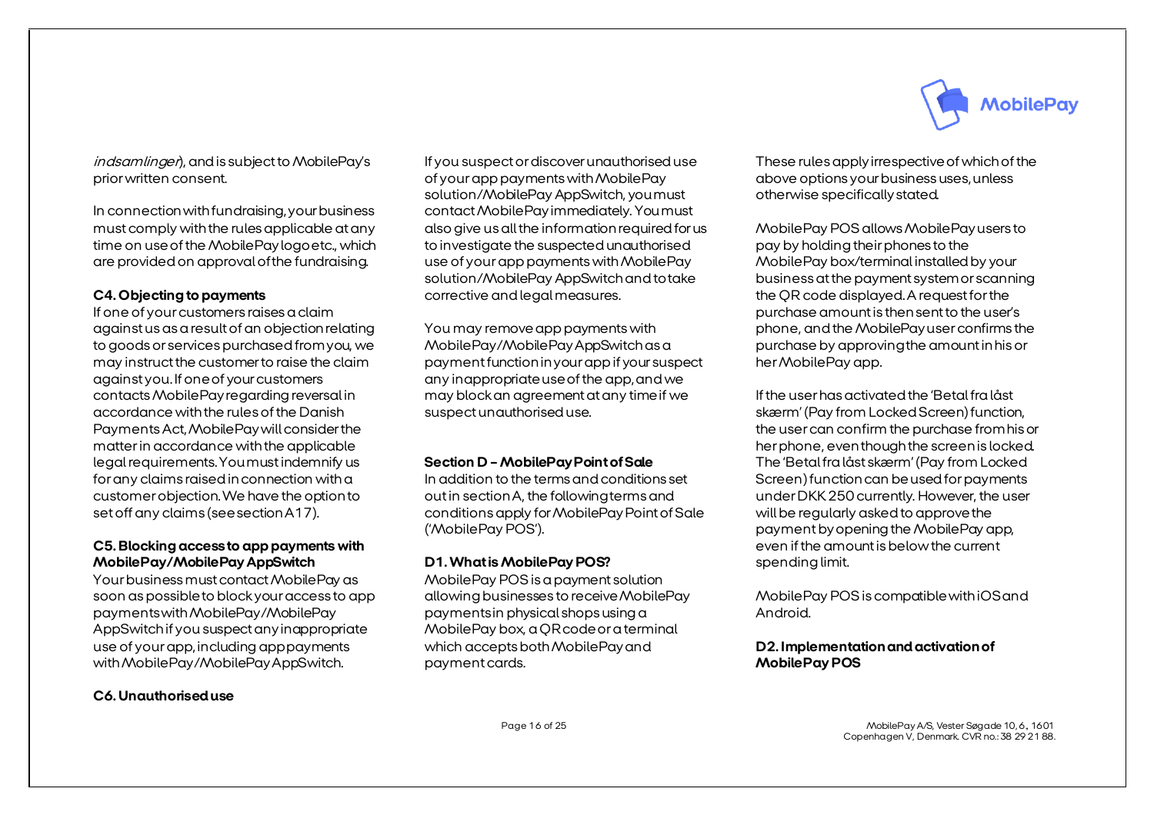

indsamlinger, and is subject to MobilePay's prior written consent.

In connection with fundraising, your business must comply with the rules applicable at any time on use of the MobilePay logo etc., which are provided on approval of the fundraising.

#### **C4. Objecting to payments**

If one of your customers raises a claim against us as a result of an objection relating to goods or services purchased from you, we may instruct the customer to raise the claim against you. If one of your customers contacts MobilePay regarding reversal in accordance with the rules of the Danish Payments Act, MobilePay will consider the matter in accordance with the applicable legal requirements. You must indemnify us for any claims raised in connection with a customer objection. We have the option to set off any claims (see section A17).

#### **C5. Blocking access to app payments with MobilePay/MobilePay AppSwitch**

Your business must contact MobilePay as soon as possible to block your access to app payments with MobilePay/MobilePay AppSwitch if you suspect any inappropriate use of your app, including app payments with MobilePay/MobilePay AppSwitch.

**C6. Unauthorised use**

If you suspect or discover unauthorised use of your app payments with MobilePay solution/MobilePay AppSwitch, you must contact MobilePay immediately. You must also give us all the information required for us to investigate the suspected unauthorised use of your app payments with MobilePay solution/MobilePay AppSwitch and to take corrective and legal measures.

You may remove app payments with MobilePay/MobilePay AppSwitch as a payment function in your app if your suspect any inappropriate use of the app, and we may block an agreement at any time if we suspect unauthorised use.

#### **Section D – MobilePay Point of Sale**

In addition to the terms and conditions set out in section A, the following terms and conditions apply for MobilePay Point of Sale ('MobilePay POS').

#### **D1. What is MobilePay POS?**

MobilePay POS is a payment solution allowing businesses to receive MobilePay payments in physical shops using a MobilePay box, a QR code or a terminal which accepts both MobilePay and payment cards.

These rules apply irrespective of which of the above options your business uses, unless otherwise specifically stated.

MobilePay POS allows MobilePay users to pay by holding their phones to the MobilePay box/terminal installed by your business at the payment system or scanning the QR code displayed. A request for the purchase amount is then sent to the user's phone, and the MobilePay user confirms the purchase by approving the amount in his or her MobilePay app.

If the user has activated the 'Betal fra låst skærm' (Pay from Locked Screen) function, the user can confirm the purchase from his or her phone, even though the screen is locked. The 'Betal fra låst skærm' (Pay from Locked Screen) function can be used for payments under DKK 250 currently. However, the user will be regularly asked to approve the payment by opening the MobilePay app, even if the amount is below the current spending limit.

MobilePay POS is compatible with iOS and Android.

## **D2. Implementation and activation of MobilePay POS**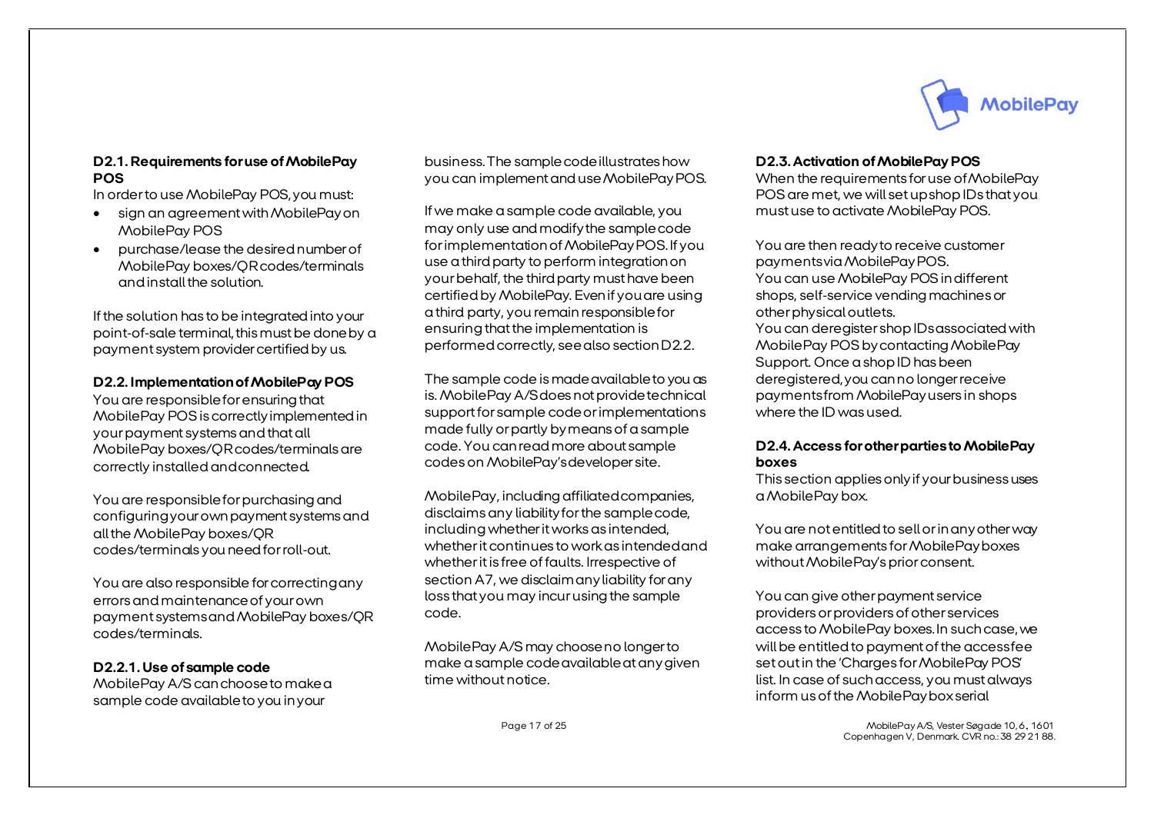## **D2.1. Requirements for use of MobilePay POS**

In order to use MobilePay POS, you must:

- sign an agreement with MobilePay on MobilePay POS
- purchase/lease the desired number of MobilePay boxes/QR codes/terminals and install the solution.

If the solution has to be integrated into your point-of-sale terminal, this must be done by a payment system provider certified by us.

## **D2.2. Implementation of MobilePay POS**

You are responsible for ensuring that MobilePay POS is correctly implemented in your payment systems and that all MobilePay boxes/QR codes/terminals are correctly installedand connected.

You are responsible for purchasing and configuring your own payment systems and all the MobilePay boxes/QR codes/terminals you need for roll-out.

You are also responsible for correcting any errors and maintenance of your own payment systems and MobilePay boxes/QR codes/terminals.

## **D2.2.1. Use of sample code**

MobilePay A/S can choose to make a sample code available to you in your

business. The sample code illustrates how you can implement and use MobilePay POS.

If we make a sample code available, you may only use and modify the sample code for implementation of MobilePay POS. If you use a third party to perform integration on your behalf, the third party must have been certified by MobilePay. Even if you are using a third party, you remainresponsible for ensuring that the implementation is performed correctly, see also section D2.2.

The sample code is made available to you as is. MobilePay A/S does not provide technical support for sample code or implementations made fully or partly by means of a sample code. You can read more about sample codes on MobilePay's developer site.

MobilePay, including affiliated companies, disclaims any liability for the sample code, including whether it works as intended, whether it continues to work as intended and whether it is free of faults. Irrespective of section A7, we disclaim any liability for any loss that you may incur using the sample code.

MobilePay A/S may choose no longer to make a sample code available at any given time without notice.

## **D2.3. Activation of MobilePay POS**

When the requirements for use of MobilePay POS are met, we will set up shop IDs that you must use to activate MobilePay POS.

You are then ready to receive customer payments via MobilePay POS. You can use MobilePay POS in different shops, self-service vending machines or other physical outlets. You can deregister shop IDs associated with MobilePay POS by contacting MobilePay Support. Once a shop ID has been deregistered, you can no longer receive payments from MobilePay users in shops where the ID was used.

## **D2.4. Access for other parties to MobilePay boxes**

This section applies only if your business uses a MobilePay box.

You are not entitled to sell or in any other way make arrangements for MobilePay boxes without MobilePay's prior consent.

You can give other payment service providers or providers of other services access to MobilePay boxes. In such case, we will be entitled to payment of the access fee set out in the 'Charges for MobilePay POS' list. In case of such access, you must always inform us of the MobilePay box serial

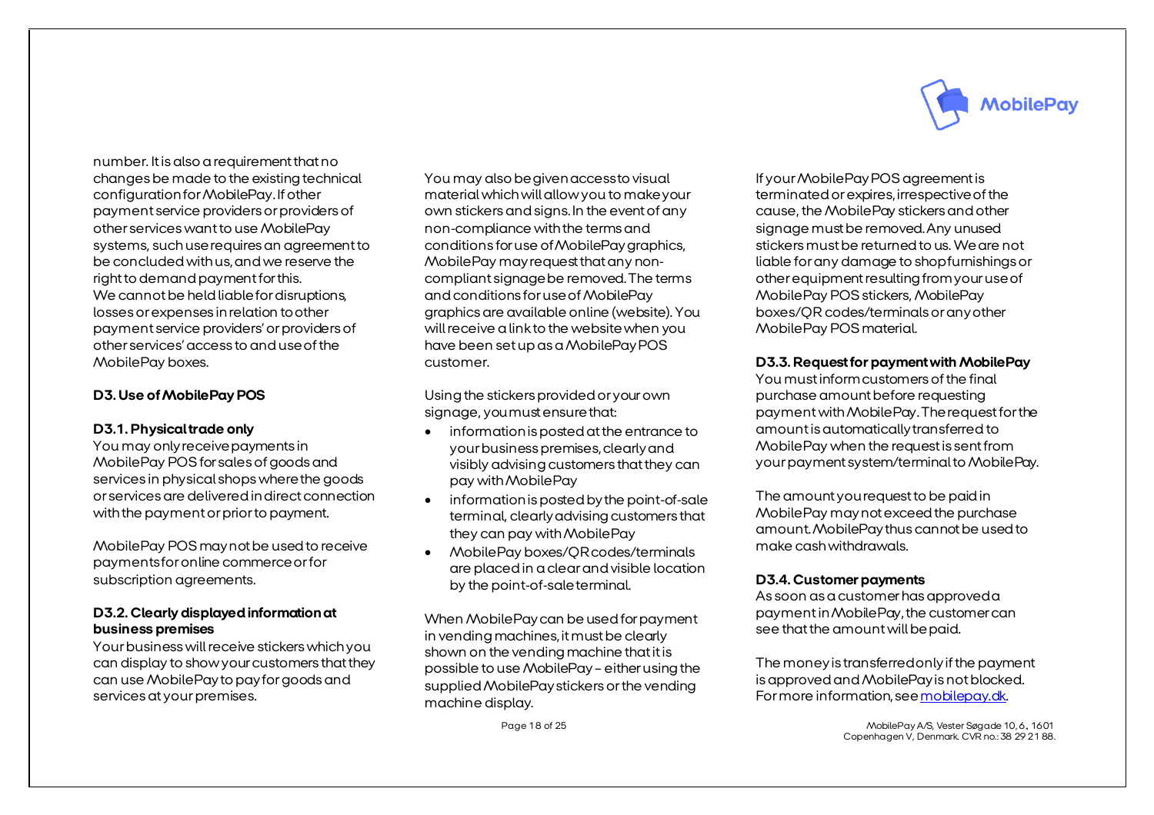

number. It is also a requirement that no changes be made to the existing technical configuration for MobilePay. If other payment service providers or providers of other services want to use MobilePay systems, such use requires an agreement to be concluded with us, and we reserve the right to demand payment for this. We cannot be held liable for disruptions, losses or expenses in relation to other payment service providers' or providers of other services' access to and use of the MobilePay boxes.

## **D3. Use of MobilePay POS**

#### **D3.1. Physical trade only**

You may only receive payments in MobilePay POS for sales of goods and services in physical shops where the goods or services are delivered in direct connection with the payment or prior to payment.

MobilePay POS may not be used to receive payments for online commerce or for subscription agreements.

## **D3.2. Clearly displayed information at business premises**

Your business will receive stickers which you can display to show your customers that they can use MobilePay to pay for goods and services at your premises.

You may also be given access to visual material which will allow you to make your own stickers and signs. In the event of any non-compliance with the terms and conditions for use of MobilePay graphics, MobilePay may request that any noncompliant signage be removed. The terms and conditions for use of MobilePay graphics are available online (website). You will receive a link to the website when you have been set up as a MobilePay POS customer.

Using the stickers provided or your own signage, you must ensure that:

- information is posted at the entrance to your business premises, clearly and visibly advising customers that they can pay with MobilePay
- information is posted by the point-of-sale terminal, clearly advising customers that they can pay with MobilePay
- MobilePay boxes/QR codes/terminals are placed in a clear and visible location by the point-of-sale terminal.

When MobilePay can be used for payment in vending machines, it must be clearly shown on the vending machine that it is possible to use MobilePay – either using the supplied MobilePay stickers or the vending machine display.

If your MobilePay POS agreement is terminated or expires, irrespective of the cause, the MobilePay stickers and other signage must be removed. Any unused stickers must be returned to us. We are not liable for any damage to shop furnishings or other equipment resulting from your use of MobilePay POS stickers, MobilePay boxes/QR codes/terminals or any other MobilePay POS material.

## **D3.3. Request for payment with MobilePay**

You must inform customers of the final purchase amount before requesting payment with MobilePay. The request for the amount is automatically transferred to MobilePay when the request is sent from your payment system/terminal to MobilePay.

The amount you request to be paid in MobilePay may not exceed the purchase amount. MobilePay thus cannot be used to make cash withdrawals.

## **D3.4. Customer payments**

As soon as a customer has approved a payment in MobilePay, the customer can see that the amount will be paid.

The money is transferred only if the payment is approved and MobilePay is not blocked. For more information, se[e mobilepay.dk](https://mobilepay.dk/da-dk/PDF/Nyhed-MobilePay-PricingChart.pdf).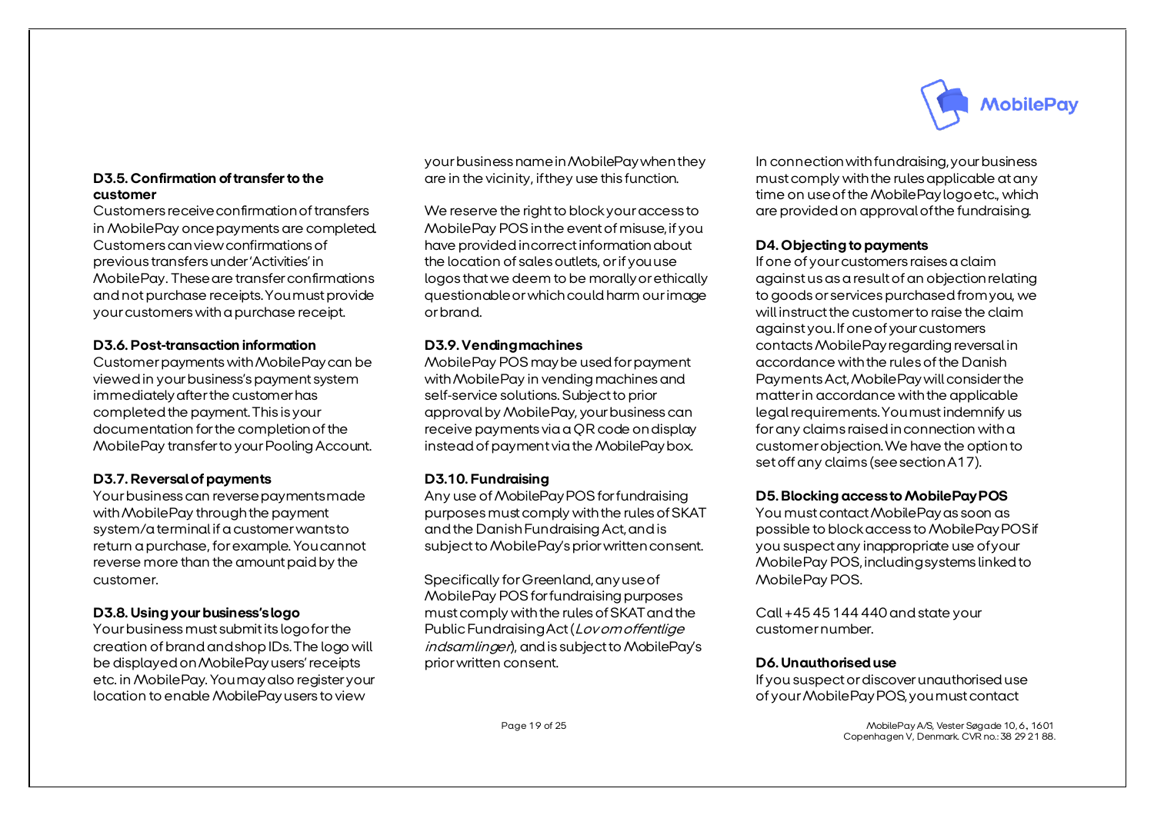## **D3.5. Confirmation of transfer to the customer**

Customers receive confirmation of transfers in MobilePay once payments are completed. Customers can view confirmations of previous transfers under 'Activities' in MobilePay. These are transfer confirmations and not purchase receipts. You must provide your customers with a purchase receipt.

## **D3.6. Post-transaction information**

Customer payments with MobilePay can be viewed in your business's payment system immediately after the customer has completed the payment. This is your documentation for the completion of the MobilePay transfer to your Pooling Account.

## **D3.7. Reversal of payments**

Your business can reverse payments made with MobilePay through the payment system/a terminal if a customer wants to return a purchase, for example. You cannot reverse more than the amount paid by the customer.

## **D3.8. Using your business's logo**

Your business must submit its logo for the creation of brand and shop IDs. The logo will be displayed on MobilePay users' receipts etc. in MobilePay. You may also register your location to enable MobilePay users to view

your business name in MobilePay when they are in the vicinity, if they use this function.

We reserve the right to block your access to MobilePay POS in the event of misuse, if you have provided incorrect information about the location of sales outlets, or if you use logos that we deem to be morally or ethically questionable or which could harm our image or brand.

## **D3.9. Vending machines**

MobilePay POS may be used for payment with MobilePay in vending machines and self-service solutions. Subject to prior approval by MobilePay, your business can receive payments via a QR code on display instead of payment via the MobilePay box.

## **D3.10. Fundraising**

Any use of MobilePay POS for fundraising purposes must comply with the rules of SKAT and the Danish Fundraising Act, and is subject to MobilePay's prior written consent.

Specifically for Greenland, any use of MobilePay POS for fundraising purposes must comply with the rules of SKAT and the Public Fundraising Act (Lov om offentlige indsamlinger), and is subject to MobilePay's prior written consent.



In connection with fundraising, your business must comply with the rules applicable at any time on use of the MobilePay logo etc., which are provided on approval of the fundraising.

## **D4. Objecting to payments**

If one of your customers raises a claim against us as a result of an objection relating to goods or services purchased from you, we will instruct the customer to raise the claim against you. If one of your customers contacts MobilePay regarding reversal in accordance with the rules of the Danish Payments Act, MobilePay will consider the matter in accordance with the applicable legal requirements. You must indemnify us for any claims raised in connection with a customer objection. We have the option to set off any claims (see section A17).

## **D5. Blocking access to MobilePay POS**

You must contact MobilePay as soon as possible to block access to MobilePay POS if you suspect any inappropriate use of your MobilePay POS, including systems linked to MobilePay POS.

Call +45 45 144 440 and state your customer number.

## **D6. Unauthorised use**

If you suspect or discover unauthorised use of your MobilePay POS, you must contact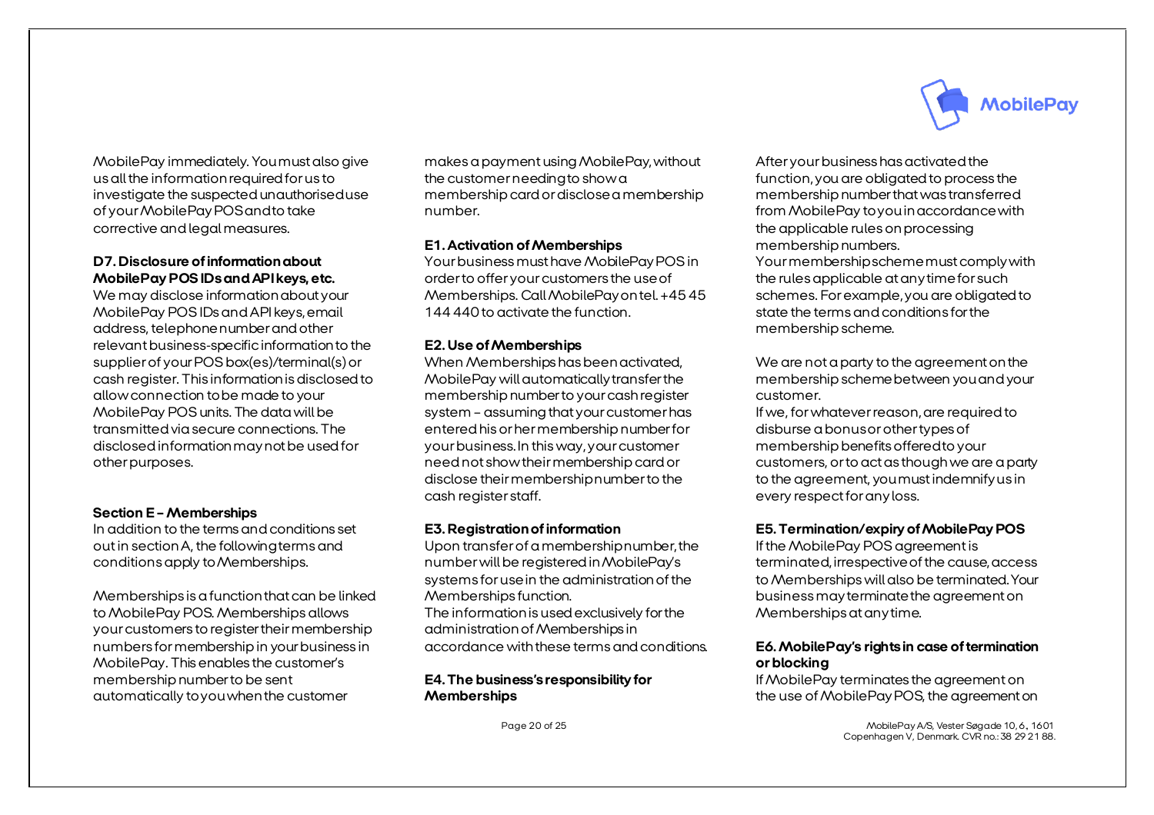

MobilePay immediately. You must also give us all the information required for us to investigate the suspected unauthorised use of your MobilePayPOS and to take corrective and legal measures.

## **D7. Disclosure of information about MobilePay POS IDs and API keys, etc.**

We may disclose information about your MobilePay POS IDs and API keys, email address, telephone number and other relevant business-specific information to the supplier of your POS box(es)/terminal(s) or cash register. This information is disclosed to allow connection to be made to your MobilePay POS units. The data will be transmitted via secure connections. The disclosed information may not be used for other purposes.

## **Section E – Memberships**

In addition to the terms and conditions set out in section A, the following terms and conditions apply to Memberships.

Memberships is a function that can be linked to MobilePay POS. Memberships allows your customers to register their membership numbers for membership in your business in MobilePay. This enables the customer's membership number to be sent automatically to you when the customer

makes a payment using MobilePay, without the customer needing to show a membership card or disclose a membership number.

## **E1. Activation of Memberships**

Your business must have MobilePay POS in order to offer your customers the use of Memberships. Call MobilePay on tel. +45 45 144 440 to activate the function.

## **E2. Use of Memberships**

When Memberships has been activated, MobilePay will automatically transfer the membership number to your cash register system – assuming that your customer has entered his or her membership number for your business. In this way, your customer need not show their membership card or disclose their membership number to the cash register staff.

## **E3. Registration of information**

Upon transfer of a membership number, the number will be registered in MobilePay's systems for use in the administration of the Memberships function. The information is used exclusively for the administration of Memberships in accordance with these terms and conditions.

## **E4. The business's responsibility for Memberships**

After your business has activated the function, you are obligated to process the membership number that was transferred from MobilePay to you in accordance with the applicable rules on processing membership numbers. Your membership scheme must comply with the rules applicable at any time for such schemes. For example, you are obligated to state the terms and conditions for the membership scheme.

We are not a party to the agreement on the membership scheme between you and your customer.

If we, for whatever reason, are required to disburse a bonus or other types of membership benefits offered to your customers, or to act as though we are a party to the agreement, you must indemnify us in every respect for any loss.

## **E5. Termination/expiry of MobilePay POS**

If the MobilePay POS agreement is terminated, irrespective of the cause, access to Memberships will also be terminated. Your business may terminate the agreement on Memberships at any time.

## **E6. MobilePay's rights in case of termination or blocking**

If MobilePay terminates the agreement on the use of MobilePay POS, the agreement on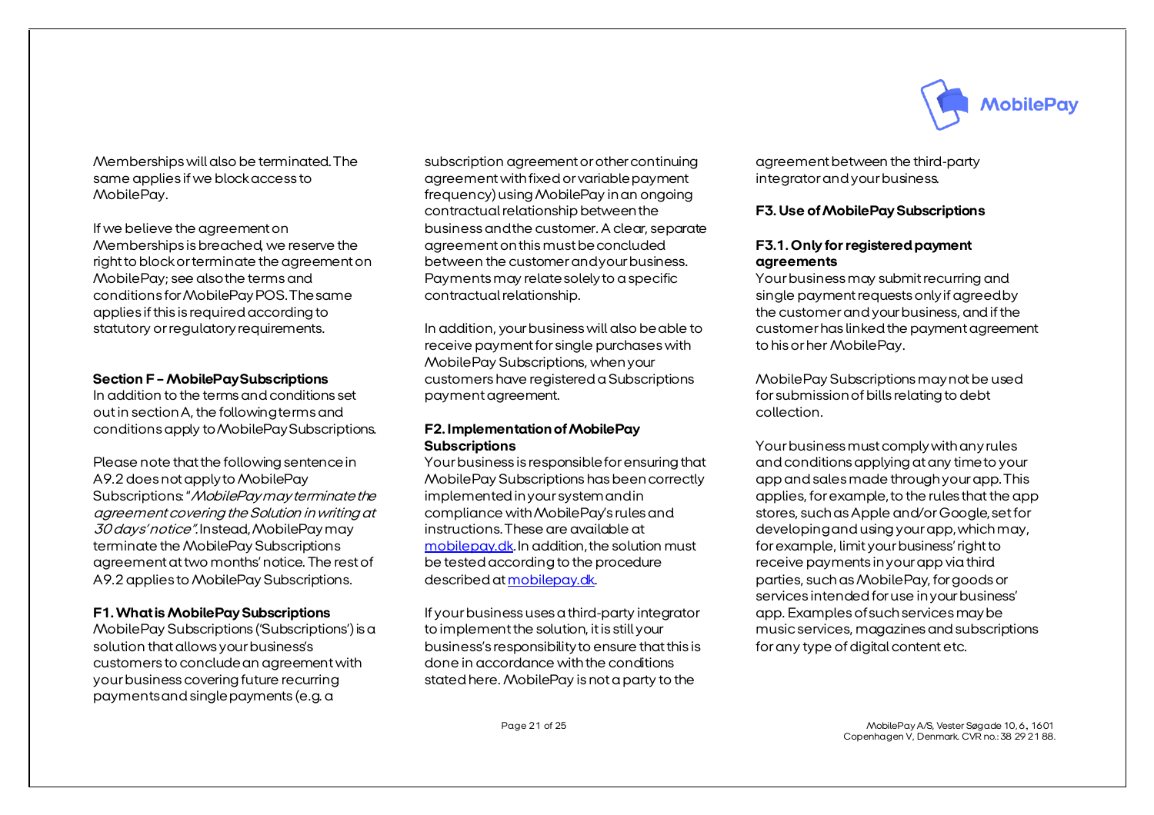

Memberships will also be terminated. The same applies if we block access to MobilePay.

If we believe the agreement on Memberships is breached, we reserve the right to block or terminate the agreement on MobilePay; see also the terms and conditions for MobilePay POS. The same applies if this is required according to statutory or regulatory requirements.

#### **Section F – MobilePay Subscriptions**

In addition to the terms and conditions set out in section A, the following terms and conditions apply to MobilePay Subscriptions.

Please note that the following sentence in A9.2 does not apply to MobilePay Subscriptions: "MobilePay may terminate the agreement covering the Solution in writing at 30 days' notice". Instead, MobilePaymay terminate the MobilePay Subscriptions agreement at two months' notice. The rest of A9.2 applies to MobilePay Subscriptions.

#### **F1. What is MobilePay Subscriptions**

MobilePay Subscriptions ('Subscriptions') is a solution that allows your business's customers to conclude an agreement with your business covering future recurring paymentsand single payments (e.g. a

subscription agreement or other continuing agreement with fixed or variable payment frequency) using MobilePay in an ongoing contractual relationship between the business and the customer. A clear, separate agreement on this must be concluded between the customer and your business. Payments may relate solely to a specific contractual relationship.

In addition, your business will also be able to receive payment for single purchases with MobilePay Subscriptions, whenyour customers have registered a Subscriptions payment agreement.

## **F2. Implementation of MobilePay Subscriptions**

Your business is responsible for ensuring that MobilePay Subscriptions has been correctly implemented in your system and in compliance with MobilePay's rules and instructions. These are available at [mobilepay.dk](https://mobilepay.dk/da-dk/PDF/Nyhed-MobilePay-PricingChart.pdf). In addition, the solution must be tested according to the procedure described at mobilepay.dk.

If your business uses a third-party integrator to implement the solution, it is still your business's responsibility to ensure that this is done in accordance with the conditions stated here. MobilePay is not a party to the

agreement between the third-party integrator and your business.

## **F3. Use of MobilePay Subscriptions**

## **F3.1. Only for registered payment agreements**

Your business may submit recurring and single payment requests only if agreed by the customer and your business, and if the customer has linked the payment agreement to his or her MobilePay.

MobilePay Subscriptions may not be used for submission of bills relating to debt collection.

Your business must comply with any rules and conditions applying at any time to your app and sales made through your app. This applies, for example, to the rules that the app stores, such as Apple and/orGoogle,set for developing and using your app, which may, for example, limit your business' right to receive payments in your app via third parties, such as MobilePay, for goods or services intended for use in your business' app. Examples of such services may be music services, magazines and subscriptions for any type of digital content etc.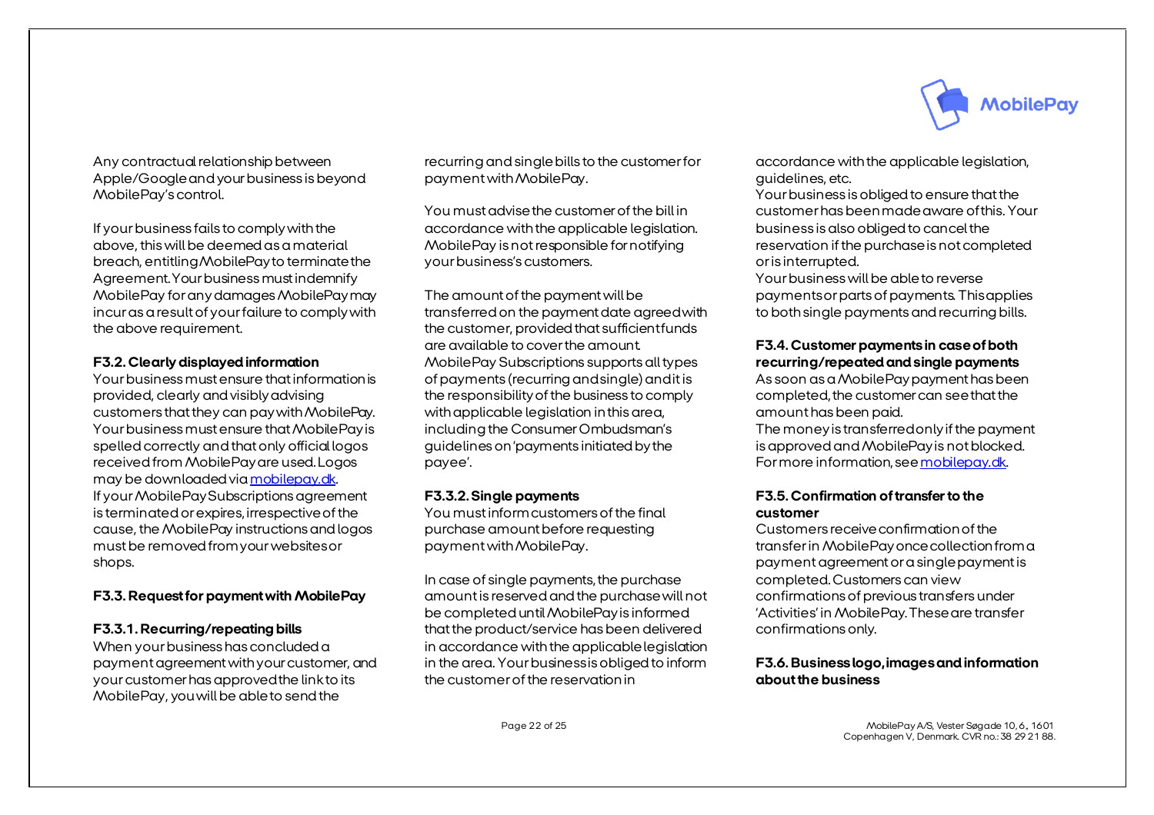

Any contractual relationship between Apple/Google and your business is beyond MobilePay's control.

If your business fails to comply with the above, this will be deemed as a material breach, entitling MobilePay to terminate the Agreement. Your business must indemnify MobilePay for any damages MobilePay may incur as a result of your failure to comply with the above requirement.

## **F3.2. Clearly displayed information**

Your business must ensure that information is provided, clearly and visibly advising customers that they can pay with MobilePay. Your business must ensure that MobilePay is spelled correctly and that only official logos received from MobilePay are used. Logos may be downloaded vi[amobilepay.dk](https://mobilepay.dk/da-dk/PDF/Nyhed-MobilePay-PricingChart.pdf). If your MobilePay Subscriptions agreement is terminated or expires, irrespective of the cause, the MobilePay instructions and logos must be removed from your websites or shops.

#### **F3.3. Request for payment with MobilePay**

#### **F3.3.1. Recurring/repeating bills**

When your business has concluded a payment agreement with your customer, and your customer has approved the link to its MobilePay, you will be able to send the

recurringand singlebills to the customer for payment with MobilePay.

You must advise the customer of the bill in accordance with the applicable legislation. MobilePay is not responsible for notifying your business's customers.

The amount of the payment will be transferred on the payment date agreed with the customer, provided that sufficient funds are available to cover the amount. MobilePay Subscriptions supports all types of payments (recurring and single) and it is the responsibility of the business to comply with applicable legislation in this area, including the Consumer Ombudsman's guidelines on 'payments initiated by the payee'.

#### **F3.3.2. Single payments**

You must inform customers of the final purchase amount before requesting payment with MobilePay.

In case of single payments, the purchase amount is reserved and the purchase will not be completed until MobilePay is informed that the product/service has been delivered in accordance with the applicable legislation in the area. Your business is obliged to inform the customer of the reservation in

accordance with the applicable legislation, guidelines, etc.

Your business is obliged to ensure that the customer has been made aware of this. Your business is also obliged to cancel the reservation if the purchase is not completed or is interrupted.

Your business will be able to reverse payments or parts of payments. This applies to both single payments and recurring bills.

## **F3.4. Customer payments in case of both recurring/repeated and single payments**

As soon as a MobilePay payment has been completed, the customer can see that the amount has been paid.

The money is transferred only if the payment is approved and MobilePay is not blocked. For more information, se[e mobilepay.dk](https://mobilepay.dk/da-dk/PDF/Nyhed-MobilePay-PricingChart.pdf).

## **F3.5. Confirmation of transfer to the customer**

Customers receive confirmation of the transfer in MobilePay once collection from a payment agreement or a single payment is completed. Customers can view confirmations of previous transfers under 'Activities' in MobilePay. These are transfer confirmations only.

## **F3.6. Business logo, images and information about the business**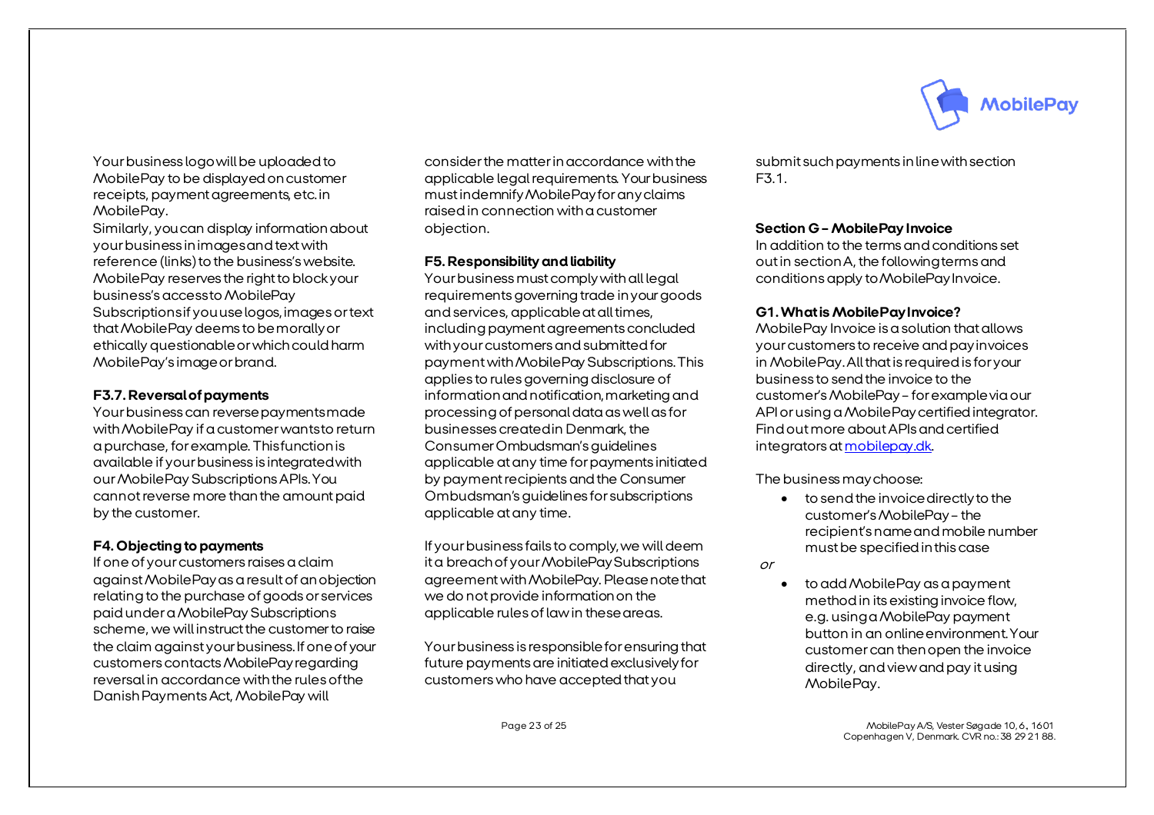

Your business logo will be uploaded to MobilePay to be displayed on customer receipts, payment agreements, etc. in MobilePay.

Similarly, you can display information about your business in images and text with reference (links) to the business's website. MobilePay reserves the right to block your business's access to MobilePay Subscriptions if you use logos, images or text that MobilePay deems to be morally or ethically questionable or which could harm MobilePay's image or brand.

#### **F3.7. Reversal of payments**

Your business can reverse payments made with MobilePay if a customer wants to return a purchase, for example. This function is available if your business is integrated with our MobilePay Subscriptions APIs. You cannot reverse more than the amount paid by the customer.

#### **F4. Objecting to payments**

If one of your customers raises a claim against MobilePay as a result of an objection relating to the purchase of goods or services paidunder a MobilePay Subscriptions scheme, we will instruct the customer to raise the claim against your business. If one of your customers contacts MobilePay regarding reversal in accordance with the rules of the Danish Payments Act, MobilePay will

considerthe matter in accordance with the applicable legal requirements. Your business must indemnify MobilePay for any claims raised in connection with a customer objection.

## **F5. Responsibility and liability**

Your business must comply with all legal requirements governing trade in your goods and services, applicable at all times, including payment agreements concluded with your customers and submitted for payment with MobilePay Subscriptions. This applies to rules governing disclosure of information and notification, marketing and processing of personal data as well as for businesses created in Denmark, the Consumer Ombudsman's guidelines applicable at any time for payments initiated by payment recipients and the Consumer Ombudsman's guidelines for subscriptions applicable at any time.

If your business fails to comply, we will deem it a breach of your MobilePay Subscriptions agreement with MobilePay. Please note that we do not provide information on the applicable rules of law in these areas.

Your business is responsible for ensuring that future payments are initiated exclusively for customers who have accepted that you

submit such payments in line with section F3.1.

## **Section G – MobilePay Invoice**

In addition to the terms and conditions set out in section A, the following terms and conditions apply to MobilePay Invoice.

## **G1. What is MobilePay Invoice?**

MobilePay Invoice is a solution that allows your customers to receive and pay invoices in MobilePay. All that is required is for your business to send the invoice to the customer's MobilePay – for example via our API or using a MobilePay certified integrator. Find out more about APIs and certified integrators a[t mobilepay.dk](https://mobilepay.dk/da-dk/PDF/Nyhed-MobilePay-PricingChart.pdf).

The business may choose:

- to send the invoice directly to the customer's MobilePay – the recipient's name and mobile number must be specified in this case
- or
- to add MobilePay as a payment method in its existing invoice flow, e.g. using a MobilePay payment button in an online environment. Your customer can then open the invoice directly, and view and pay it using MobilePay.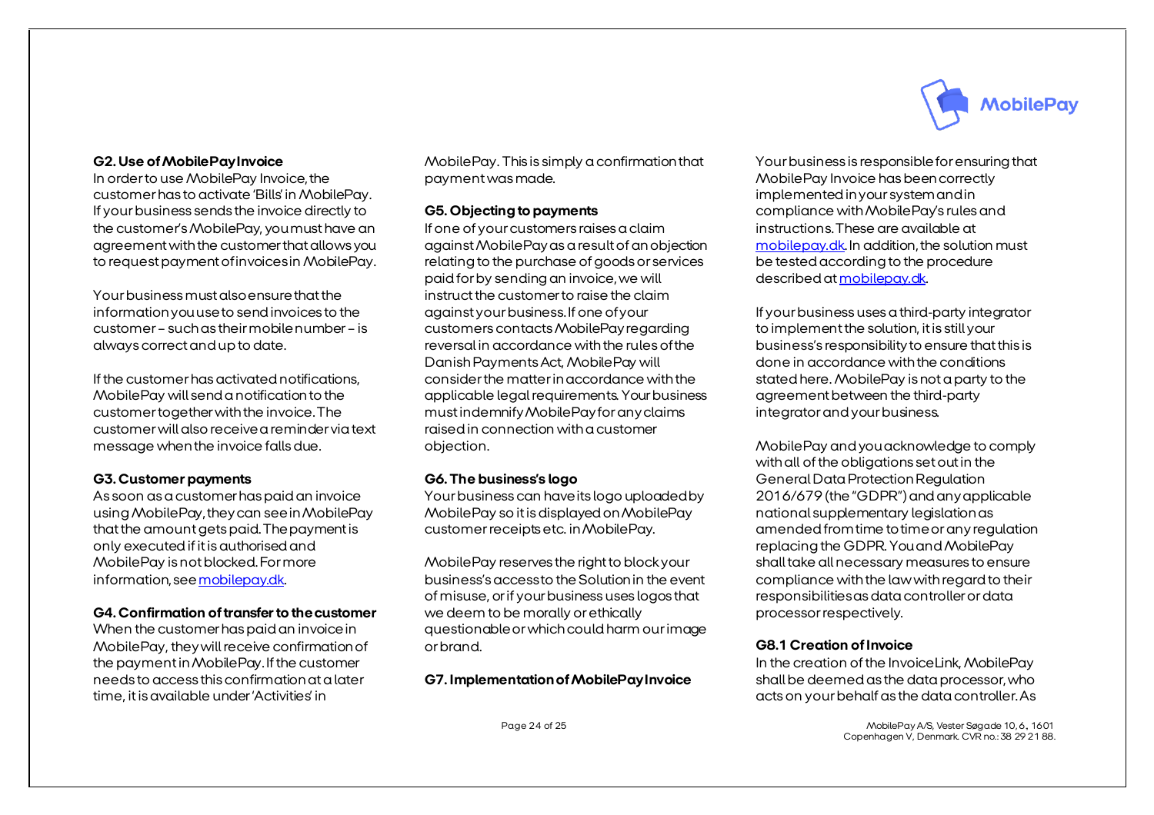

#### **G2. Use of MobilePay Invoice**

In order to use MobilePay Invoice, the customer has to activate 'Bills' in MobilePay. If your business sends the invoice directly to the customer's MobilePay, you must have an agreement with the customer that allows you to request payment of invoices in MobilePay.

Your business must also ensure that the information you use to send invoices to the customer – such as their mobile number – is always correct and up to date.

If the customer has activated notifications, MobilePay will send a notification to the customer together with the invoice. The customer will also receive a reminder via text message when the invoice falls due.

#### **G3. Customer payments**

As soon as a customer has paid an invoice using MobilePay, they can see in MobilePay that the amount gets paid. The payment is only executedif it is authorised and MobilePay is not blocked. For more information, se[e mobilepay.dk](https://mobilepay.dk/da-dk/PDF/Nyhed-MobilePay-PricingChart.pdf).

#### **G4. Confirmation of transfer to the customer**

When the customer has paid an invoice in MobilePay, they will receive confirmation of the payment in MobilePay. If the customer needs to access this confirmation at a later time, it is available under 'Activities' in

MobilePay. This is simply a confirmation that payment was made.

#### **G5. Objecting to payments**

If one of your customers raises a claim against MobilePay as a result of an objection relating to the purchase of goods or services paid for by sending an invoice, we will instruct the customer to raise the claim against your business. If one of your customers contacts MobilePay regarding reversal in accordance with the rules of the Danish Payments Act, MobilePay will consider the matter in accordance with the applicable legal requirements. Your business must indemnify MobilePay for any claims raised in connection with a customer objection.

#### **G6. The business's logo**

Your business can have its logo uploaded by MobilePay so it is displayed on MobilePay customer receipts etc. in MobilePay.

MobilePay reserves the right to block your business's access to the Solution in the event of misuse, or if your business uses logos that we deem to be morally or ethically questionable or which could harm our image or brand.

#### **G7. Implementation of MobilePay Invoice**

Your business is responsible for ensuring that MobilePay Invoice has been correctly implemented in your system and in compliance with MobilePay's rules and instructions. These are available at [mobilepay.dk](https://mobilepay.dk/da-dk/PDF/Nyhed-MobilePay-PricingChart.pdf). In addition, the solution must be tested according to the procedure described at mobilepay.dk.

If your business uses a third-party integrator to implement the solution, it is still your business's responsibility to ensure that this is done in accordance with the conditions stated here. MobilePay is not a party to the agreement between the third-party integratorand your business.

MobilePay and you acknowledge to comply with all of the obligations set out in the General Data Protection Regulation 2016/679 (the "GDPR") and any applicable national supplementary legislation as amended from time to time or any regulation replacing the GDPR. You and MobilePay shall take all necessary measures to ensure compliance with the law with regard to their responsibilities as data controller or data processor respectively.

#### **G8.1 Creation of Invoice**

In the creation of the InvoiceLink, MobilePay shall be deemed as the data processor, who acts on your behalf as the data controller. As